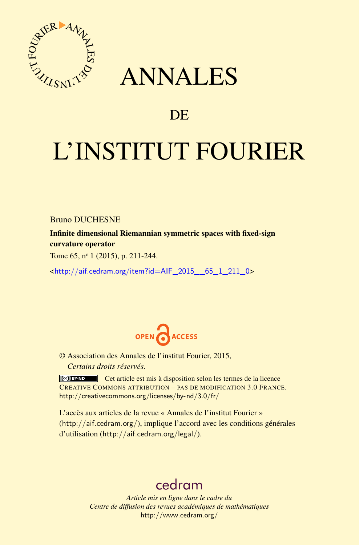

## ANNALES

### **DE**

# L'INSTITUT FOURIER

Bruno DUCHESNE

Infinite dimensional Riemannian symmetric spaces with fixed-sign curvature operator

Tome 65, nº 1 (2015), p. 211-244.

<[http://aif.cedram.org/item?id=AIF\\_2015\\_\\_65\\_1\\_211\\_0](http://aif.cedram.org/item?id=AIF_2015__65_1_211_0)>



© Association des Annales de l'institut Fourier, 2015, *Certains droits réservés.*

Cet article est mis à disposition selon les termes de la licence CREATIVE COMMONS ATTRIBUTION – PAS DE MODIFICATION 3.0 FRANCE. <http://creativecommons.org/licenses/by-nd/3.0/fr/>

L'accès aux articles de la revue « Annales de l'institut Fourier » (<http://aif.cedram.org/>), implique l'accord avec les conditions générales d'utilisation (<http://aif.cedram.org/legal/>).

## [cedram](http://www.cedram.org/)

*Article mis en ligne dans le cadre du Centre de diffusion des revues académiques de mathématiques* <http://www.cedram.org/>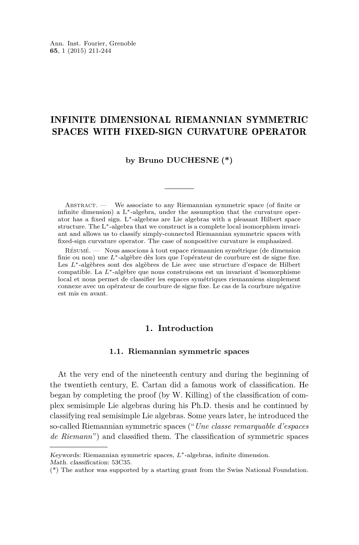#### INFINITE DIMENSIONAL RIEMANNIAN SYMMETRIC SPACES WITH FIXED-SIGN CURVATURE OPERATOR

#### **by Bruno DUCHESNE (\*)**

Abstract. — We associate to any Riemannian symmetric space (of finite or infinite dimension) a  $L^*$ -algebra, under the assumption that the curvature operator has a fixed sign. L∗-algebras are Lie algebras with a pleasant Hilbert space structure. The L∗-algebra that we construct is a complete local isomorphism invariant and allows us to classify simply-connected Riemannian symmetric spaces with fixed-sign curvature operator. The case of nonpositive curvature is emphasized.

Résumé. — Nous associons à tout espace riemannien symétrique (de dimension finie ou non) une *L*∗-algèbre dès lors que l'opérateur de courbure est de signe fixe. Les *L*∗-algèbres sont des algèbres de Lie avec une structure d'espace de Hilbert compatible. La *L*∗-algèbre que nous construisons est un invariant d'isomorphisme local et nous permet de classifier les espaces symétriques riemanniens simplement connexe avec un opérateur de courbure de signe fixe. Le cas de la courbure négative est mis en avant.

#### **1. Introduction**

#### **1.1. Riemannian symmetric spaces**

At the very end of the nineteenth century and during the beginning of the twentieth century, E. Cartan did a famous work of classification. He began by completing the proof (by W. Killing) of the classification of complex semisimple Lie algebras during his Ph.D. thesis and he continued by classifying real semisimple Lie algebras. Some years later, he introduced the so-called Riemannian symmetric spaces ("*Une classe remarquable d'espaces de Riemann*") and classified them. The classification of symmetric spaces

Keywords: Riemannian symmetric spaces, *L*∗-algebras, infinite dimension. Math. classification: 53C35.

<sup>(\*)</sup> The author was supported by a starting grant from the Swiss National Foundation.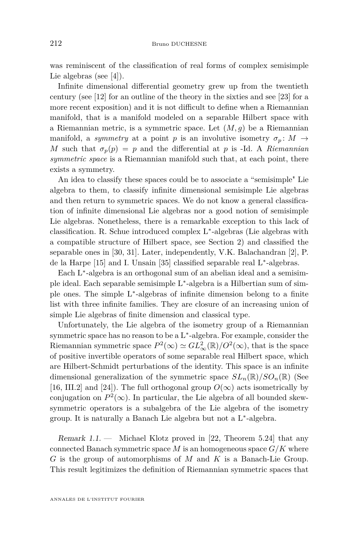was reminiscent of the classification of real forms of complex semisimple Lie algebras (see [\[4\]](#page-33-0)).

Infinite dimensional differential geometry grew up from the twentieth century (see [\[12\]](#page-33-0) for an outline of the theory in the sixties and see [\[23\]](#page-34-0) for a more recent exposition) and it is not difficult to define when a Riemannian manifold, that is a manifold modeled on a separable Hilbert space with a Riemannian metric, is a symmetric space. Let (*M, g*) be a Riemannian manifold, a *symmetry* at a point *p* is an involutive isometry  $\sigma_p$ :  $M \rightarrow$ *M* such that  $\sigma_p(p) = p$  and the differential at *p* is -Id. A *Riemannian symmetric space* is a Riemannian manifold such that, at each point, there exists a symmetry.

An idea to classify these spaces could be to associate a "semisimple" Lie algebra to them, to classify infinite dimensional semisimple Lie algebras and then return to symmetric spaces. We do not know a general classification of infinite dimensional Lie algebras nor a good notion of semisimple Lie algebras. Nonetheless, there is a remarkable exception to this lack of classification. R. Schue introduced complex L<sup>∗</sup> -algebras (Lie algebras with a compatible structure of Hilbert space, see Section [2\)](#page-8-0) and classified the separable ones in [\[30,](#page-34-0) [31\]](#page-34-0). Later, independently, V.K. Balachandran [\[2\]](#page-33-0), P. de la Harpe [\[15\]](#page-33-0) and I. Unsain [\[35\]](#page-34-0) classified separable real L<sup>∗</sup> -algebras.

Each L<sup>∗</sup> -algebra is an orthogonal sum of an abelian ideal and a semisimple ideal. Each separable semisimple L<sup>∗</sup> -algebra is a Hilbertian sum of simple ones. The simple L<sup>∗</sup> -algebras of infinite dimension belong to a finite list with three infinite families. They are closure of an increasing union of simple Lie algebras of finite dimension and classical type.

Unfortunately, the Lie algebra of the isometry group of a Riemannian symmetric space has no reason to be a L<sup>\*</sup>-algebra. For example, consider the Riemannian symmetric space  $P^2(\infty) \simeq GL^2_{\infty}(\mathbb{R})/O^2(\infty)$ , that is the space of positive invertible operators of some separable real Hilbert space, which are Hilbert-Schmidt perturbations of the identity. This space is an infinite dimensional generalization of the symmetric space  $SL_n(\mathbb{R})/SO_n(\mathbb{R})$  (See [\[16,](#page-33-0) III.2] and [\[24\]](#page-34-0)). The full orthogonal group  $O(\infty)$  acts isometrically by conjugation on  $P^2(\infty)$ . In particular, the Lie algebra of all bounded skewsymmetric operators is a subalgebra of the Lie algebra of the isometry group. It is naturally a Banach Lie algebra but not a L<sup>∗</sup> -algebra.

Remark  $1.1.$  — Michael Klotz proved in [\[22,](#page-34-0) Theorem 5.24] that any connected Banach symmetric space  $M$  is an homogeneous space  $G/K$  where *G* is the group of automorphisms of *M* and *K* is a Banach-Lie Group. This result legitimizes the definition of Riemannian symmetric spaces that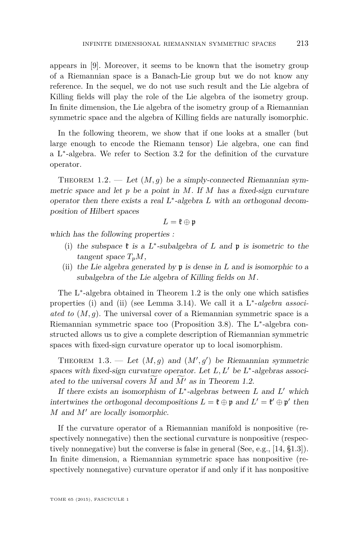<span id="page-3-0"></span>appears in [\[9\]](#page-33-0). Moreover, it seems to be known that the isometry group of a Riemannian space is a Banach-Lie group but we do not know any reference. In the sequel, we do not use such result and the Lie algebra of Killing fields will play the role of the Lie algebra of the isometry group. In finite dimension, the Lie algebra of the isometry group of a Riemannian symmetric space and the algebra of Killing fields are naturally isomorphic.

In the following theorem, we show that if one looks at a smaller (but large enough to encode the Riemann tensor) Lie algebra, one can find a L<sup>∗</sup> -algebra. We refer to Section [3.2](#page-16-0) for the definition of the curvature operator.

THEOREM 1.2. — Let  $(M, q)$  be a simply-connected Riemannian symmetric space and let *p* be a point in *M*. If *M* has a fixed-sign curvature operator then there exists a real L<sup>∗</sup> -algebra *L* with an orthogonal decomposition of Hilbert spaces

$$
L=\mathfrak{k}\oplus\mathfrak{p}
$$

which has the following properties :

- (i) the subspace  $\mathfrak k$  is a L<sup>\*</sup>-subalgebra of *L* and  $\mathfrak p$  is isometric to the  $tangent space T_pM$ ,
- (ii) the Lie algebra generated by p is dense in *L* and is isomorphic to a subalgebra of the Lie algebra of Killing fields on *M*.

The L<sup>∗</sup> -algebra obtained in Theorem 1.2 is the only one which satisfies properties (i) and (ii) (see Lemma [3.14\)](#page-20-0). We call it a L<sup>∗</sup> -*algebra associated to* (*M, g*). The universal cover of a Riemannian symmetric space is a Riemannian symmetric space too (Proposition [3.8\)](#page-16-0). The L<sup>\*</sup>-algebra constructed allows us to give a complete description of Riemannian symmetric spaces with fixed-sign curvature operator up to local isomorphism.

THEOREM 1.3. — Let  $(M, g)$  and  $(M', g')$  be Riemannian symmetric spaces with fixed-sign curvature operator. Let  $L, L'$  be  $L^*$ -algebras associated to the universal covers  $\tilde{M}$  and  $\tilde{M}'$  as in Theorem 1.2.

If there exists an isomorphism of  $L^*$ -algebras between  $L$  and  $L'$  which intertwines the orthogonal decompositions  $L = \mathfrak{k} \oplus \mathfrak{p}$  and  $L' = \mathfrak{k}' \oplus \mathfrak{p}'$  then *M* and *M'* are locally isomorphic.

If the curvature operator of a Riemannian manifold is nonpositive (respectively nonnegative) then the sectional curvature is nonpositive (respectively nonnegative) but the converse is false in general (See, e.g., [\[14,](#page-33-0) §1.3]). In finite dimension, a Riemannian symmetric space has nonpositive (respectively nonnegative) curvature operator if and only if it has nonpositive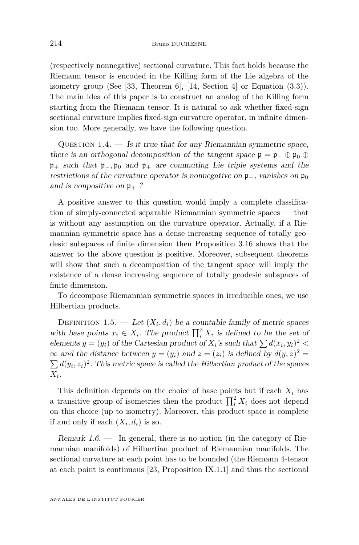<span id="page-4-0"></span>(respectively nonnegative) sectional curvature. This fact holds because the Riemann tensor is encoded in the Killing form of the Lie algebra of the isometry group (See [\[33,](#page-34-0) Theorem 6], [\[14,](#page-33-0) Section 4] or Equation [\(3.3\)](#page-17-0)). The main idea of this paper is to construct an analog of the Killing form starting from the Riemann tensor. It is natural to ask whether fixed-sign sectional curvature implies fixed-sign curvature operator, in infinite dimension too. More generally, we have the following question.

QUESTION  $1.4.$  — Is it true that for any Riemannian symmetric space, there is an orthogonal decomposition of the tangent space  $\mathfrak{p} = \mathfrak{p}_- \oplus \mathfrak{p}_0 \oplus$ p<sup>+</sup> such that p−*,* p<sup>0</sup> and p<sup>+</sup> are commuting Lie triple systems and the restrictions of the curvature operator is nonnegative on  $\mathfrak{p}_-$ , vanishes on  $\mathfrak{p}_0$ and is nonpositive on  $\mathfrak{p}_+$  ?

A positive answer to this question would imply a complete classification of simply-connected separable Riemannian symmetric spaces — that is without any assumption on the curvature operator. Actually, if a Riemannian symmetric space has a dense increasing sequence of totally geodesic subspaces of finite dimension then Proposition [3.16](#page-21-0) shows that the answer to the above question is positive. Moreover, subsequent theorems will show that such a decomposition of the tangent space will imply the existence of a dense increasing sequence of totally geodesic subspaces of finite dimension.

To decompose Riemannian symmetric spaces in irreducible ones, we use Hilbertian products.

DEFINITION 1.5. — Let  $(X_i, d_i)$  be a countable family of metric spaces with base points  $x_i \in X_i$ . The product  $\prod_i^2 X_i$  is defined to be the set of elements  $y = (y_i)$  of the Cartesian product of  $X_i$ 's such that  $\sum d(x_i, y_i)^2$  $\infty$  and the distance between  $y = (y_i)$  and  $z = (z_i)$  is defined by  $d(y, z)^2 =$  $\sum d(y_i, z_i)^2$ . This metric space is called the *Hilbertian product* of the spaces  $X_i$ .

This definition depends on the choice of base points but if each  $X_i$  has a transitive group of isometries then the product  $\prod_i^2 X_i$  does not depend on this choice (up to isometry). Moreover, this product space is complete if and only if each  $(X_i, d_i)$  is so.

Remark  $1.6$  — In general, there is no notion (in the category of Riemannian manifolds) of Hilbertian product of Riemannian manifolds. The sectional curvature at each point has to be bounded (the Riemann 4-tensor at each point is continuous [\[23,](#page-34-0) Proposition IX.1.1] and thus the sectional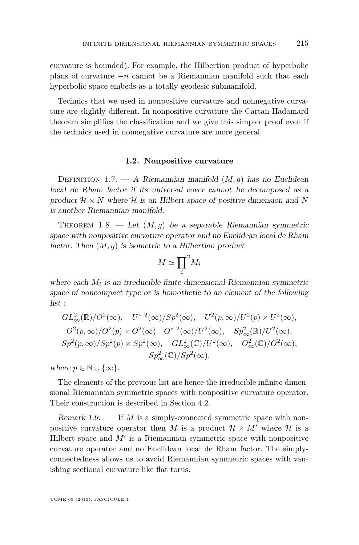<span id="page-5-0"></span>curvature is bounded). For example, the Hilbertian product of hyperbolic plans of curvature  $-n$  cannot be a Riemannian manifold such that each hyperbolic space embeds as a totally geodesic submanifold.

Technics that we used in nonpositive curvature and nonnegative curvature are slightly different. In nonpositive curvature the Cartan-Hadamard theorem simplifies the classification and we give this simpler proof even if the technics used in nonnegative curvature are more general.

#### **1.2. Nonpositive curvature**

Definition 1.7. — A Riemannian manifold (*M, g*) has no Euclidean local de Rham factor if its universal cover cannot be decomposed as a product  $\mathcal{H} \times N$  where  $\mathcal{H}$  is an Hilbert space of positive dimension and N is another Riemannian manifold.

THEOREM  $1.8.$  — Let  $(M, g)$  be a separable Riemannian symmetric space with nonpositive curvature operator and no Euclidean local de Rham factor. Then  $(M, g)$  is isometric to a Hilbertian product

$$
M \simeq \prod_i^2 M_i
$$

where each  $M_i$  is an irreducible finite dimensional Riemannian symmetric space of noncompact type or is homothetic to an element of the following list :

$$
GL_{\infty}^{2}(\mathbb{R})/O^{2}(\infty), \quad U^{* 2}(\infty)/Sp^{2}(\infty), \quad U^{2}(p, \infty)/U^{2}(p) \times U^{2}(\infty),
$$
  

$$
O^{2}(p, \infty)/O^{2}(p) \times O^{2}(\infty) \quad O^{* 2}(\infty)/U^{2}(\infty), \quad Sp_{\infty}^{2}(\mathbb{R})/U^{2}(\infty),
$$
  

$$
Sp^{2}(p, \infty)/Sp^{2}(p) \times Sp^{2}(\infty), \quad GL_{\infty}^{2}(\mathbb{C})/U^{2}(\infty), \quad O_{\infty}^{2}(\mathbb{C})/O^{2}(\infty),
$$
  

$$
Sp_{\infty}^{2}(\mathbb{C})/Sp^{2}(\infty).
$$

where  $p \in \mathbb{N} \cup \{\infty\}.$ 

The elements of the previous list are hence the irreducible infinite dimensional Riemannian symmetric spaces with nonpositive curvature operator. Their construction is described in Section [4.2.](#page-23-0)

Remark 1.9. — If *M* is a simply-connected symmetric space with nonpositive curvature operator then *M* is a product  $\mathcal{H} \times M'$  where  $\mathcal{H}$  is a Hilbert space and  $M'$  is a Riemannian symmetric space with nonpositive curvature operator and no Euclidean local de Rham factor. The simplyconnectedness allows us to avoid Riemannian symmetric spaces with vanishing sectional curvature like flat torus.

TOME 65 (2015), FASCICULE 1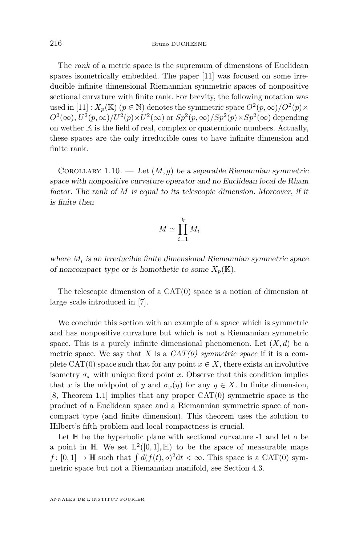<span id="page-6-0"></span>The *rank* of a metric space is the supremum of dimensions of Euclidean spaces isometrically embedded. The paper [\[11\]](#page-33-0) was focused on some irreducible infinite dimensional Riemannian symmetric spaces of nonpositive sectional curvature with finite rank. For brevity, the following notation was used in [\[11\]](#page-33-0) :  $X_p(\mathbb{K})$  ( $p \in \mathbb{N}$ ) denotes the symmetric space  $O^2(p, \infty)/O^2(p) \times$  $O^2(\infty)$ ,  $U^2(p,\infty)/U^2(p)\times U^2(\infty)$  or  $Sp^2(p,\infty)/Sp^2(p)\times Sp^2(\infty)$  depending on wether  $K$  is the field of real, complex or quaternionic numbers. Actually, these spaces are the only irreducible ones to have infinite dimension and finite rank.

COROLLARY 1.10. — Let  $(M, g)$  be a separable Riemannian symmetric space with nonpositive curvature operator and no Euclidean local de Rham factor. The rank of *M* is equal to its telescopic dimension. Moreover, if it is finite then

$$
M \simeq \prod_{i=1}^{k} M_i
$$

where  $M_i$  is an irreducible finite dimensional Riemannian symmetric space of noncompact type or is homothetic to some  $X_p(\mathbb{K})$ .

The telescopic dimension of a CAT(0) space is a notion of dimension at large scale introduced in [\[7\]](#page-33-0).

We conclude this section with an example of a space which is symmetric and has nonpositive curvature but which is not a Riemannian symmetric space. This is a purely infinite dimensional phenomenon. Let  $(X, d)$  be a metric space. We say that *X* is a  $CAT(0)$  symmetric space if it is a complete CAT(0) space such that for any point  $x \in X$ , there exists an involutive isometry  $\sigma_x$  with unique fixed point *x*. Observe that this condition implies that *x* is the midpoint of *y* and  $\sigma_x(y)$  for any  $y \in X$ . In finite dimension,  $[8,$  Theorem 1.1 implies that any proper  $CAT(0)$  symmetric space is the product of a Euclidean space and a Riemannian symmetric space of noncompact type (and finite dimension). This theorem uses the solution to Hilbert's fifth problem and local compactness is crucial.

Let  $\mathbb H$  be the hyperbolic plane with sectional curvature  $-1$  and let  $\sigma$  be a point in  $\mathbb{H}$ . We set  $L^2([0,1], \mathbb{H})$  to be the space of measurable maps  $f: [0, 1] \to \mathbb{H}$  such that  $\int d(f(t), o)^2 dt < \infty$ . This space is a CAT(0) symmetric space but not a Riemannian manifold, see Section [4.3.](#page-26-0)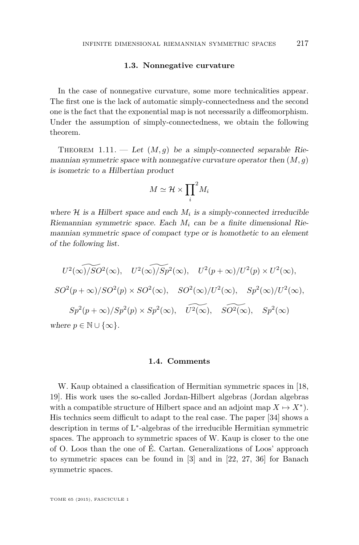#### **1.3. Nonnegative curvature**

<span id="page-7-0"></span>In the case of nonnegative curvature, some more technicalities appear. The first one is the lack of automatic simply-connectedness and the second one is the fact that the exponential map is not necessarily a diffeomorphism. Under the assumption of simply-connectedness, we obtain the following theorem.

THEOREM 1.11. — Let  $(M, q)$  be a simply-connected separable Riemannian symmetric space with nonnegative curvature operator then (*M, g*) is isometric to a Hilbertian product

$$
M\simeq \mathcal{H}\times {\prod_i}^2 M_i
$$

where  $H$  is a Hilbert space and each  $M_i$  is a simply-connected irreducible Riemannian symmetric space. Each *M<sup>i</sup>* can be a finite dimensional Riemannian symmetric space of compact type or is homothetic to an element of the following list.

$$
U^2(\widehat{\infty})/SO^2(\infty), \quad U^2(\widehat{\infty})/Sp^2(\infty), \quad U^2(p+\infty)/U^2(p) \times U^2(\infty),
$$
  
\n
$$
SO^2(p+\infty)/SO^2(p) \times SO^2(\infty), \quad SO^2(\infty)/U^2(\infty), \quad Sp^2(\infty)/U^2(\infty),
$$
  
\n
$$
Sp^2(p+\infty)/Sp^2(p) \times Sp^2(\infty), \quad \widetilde{U^2(\infty)}, \quad \widetilde{SO^2(\infty)}, \quad Sp^2(\infty)
$$
  
\nwhere  $p \in \mathbb{N} \cup \{\infty\}.$ 

#### **1.4. Comments**

W. Kaup obtained a classification of Hermitian symmetric spaces in [\[18,](#page-33-0) [19\]](#page-33-0). His work uses the so-called Jordan-Hilbert algebras (Jordan algebras with a compatible structure of Hilbert space and an adjoint map  $X \mapsto X^*$ . His technics seem difficult to adapt to the real case. The paper [\[34\]](#page-34-0) shows a description in terms of L<sup>\*</sup>-algebras of the irreducible Hermitian symmetric spaces. The approach to symmetric spaces of W. Kaup is closer to the one of O. Loos than the one of É. Cartan. Generalizations of Loos' approach to symmetric spaces can be found in [\[3\]](#page-33-0) and in [\[22,](#page-34-0) [27,](#page-34-0) [36\]](#page-34-0) for Banach symmetric spaces.

TOME 65 (2015), FASCICULE 1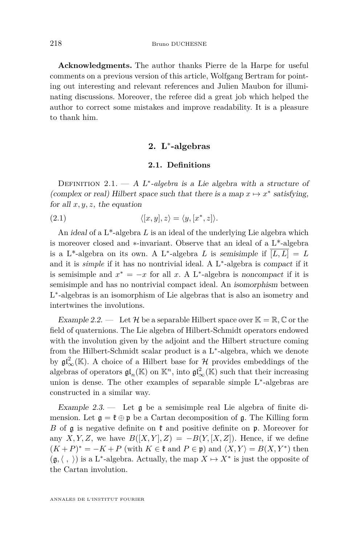<span id="page-8-0"></span>**Acknowledgments.** The author thanks Pierre de la Harpe for useful comments on a previous version of this article, Wolfgang Bertram for pointing out interesting and relevant references and Julien Maubon for illuminating discussions. Moreover, the referee did a great job which helped the author to correct some mistakes and improve readability. It is a pleasure to thank him.

#### **2. L**<sup>∗</sup> **-algebras**

#### **2.1. Definitions**

DEFINITION 2.1. — A L<sup>\*</sup>-algebra is a Lie algebra with a structure of (complex or real) Hilbert space such that there is a map  $x \mapsto x^*$  satisfying, for all  $x, y, z$ , the equation

(2.1)  $\langle [x, y], z \rangle = \langle y, [x^*, z] \rangle.$ 

An ideal of a L\*-algebra *L* is an ideal of the underlying Lie algebra which is moreover closed and ∗-invariant. Observe that an ideal of a L\*-algebra is a L<sup>\*</sup>-algebra on its own. A L<sup>\*</sup>-algebra *L* is semisimple if  $\overline{[L, L]} = L$ and it is *simple* if it has no nontrivial ideal. A L<sup>∗</sup> -algebra is compact if it is semisimple and  $x^* = -x$  for all *x*. A L<sup>\*</sup>-algebra is noncompact if it is semisimple and has no nontrivial compact ideal. An isomorphism between L ∗ -algebras is an isomorphism of Lie algebras that is also an isometry and intertwines the involutions.

Example 2.2. — Let H be a separable Hilbert space over  $\mathbb{K} = \mathbb{R}, \mathbb{C}$  or the field of quaternions. The Lie algebra of Hilbert-Schmidt operators endowed with the involution given by the adjoint and the Hilbert structure coming from the Hilbert-Schmidt scalar product is a L<sup>∗</sup> -algebra, which we denote by  $\mathfrak{gl}^2_{\infty}(\mathbb{K})$ . A choice of a Hilbert base for  $\mathcal H$  provides embeddings of the algebras of operators  $\mathfrak{gl}_n(\mathbb{K})$  on  $\mathbb{K}^n$ , into  $\mathfrak{gl}_\infty^2(\mathbb{K})$  such that their increasing union is dense. The other examples of separable simple L<sup>∗</sup> -algebras are constructed in a similar way.

Example 2.3.  $\qquad$  Let  $\mathfrak g$  be a semisimple real Lie algebra of finite dimension. Let  $\mathfrak{g} = \mathfrak{k} \oplus \mathfrak{p}$  be a Cartan decomposition of  $\mathfrak{g}$ . The Killing form *B* of  $\mathfrak g$  is negative definite on  $\mathfrak k$  and positive definite on  $\mathfrak p$ . Moreover for any *X, Y, Z,* we have  $B([X, Y], Z) = -B(Y, [X, Z])$ . Hence, if we define  $(K+P)^* = -K + P$  (with  $K \in \mathfrak{k}$  and  $P \in \mathfrak{p}$ ) and  $\langle X, Y \rangle = B(X, Y^*)$  then  $(\mathfrak{g},\langle , \rangle)$  is a L<sup>\*</sup>-algebra. Actually, the map  $X \mapsto X^*$  is just the opposite of the Cartan involution.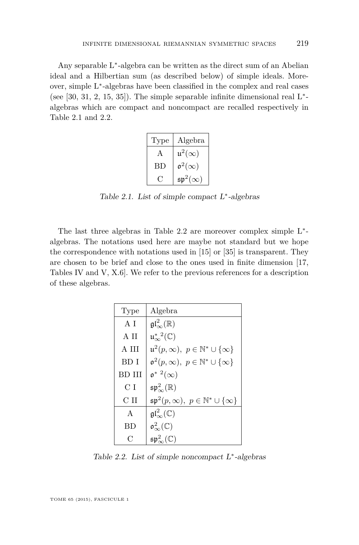<span id="page-9-0"></span>Any separable L<sup>∗</sup> -algebra can be written as the direct sum of an Abelian ideal and a Hilbertian sum (as described below) of simple ideals. Moreover, simple L<sup>∗</sup> -algebras have been classified in the complex and real cases (see  $[30, 31, 2, 15, 35]$  $[30, 31, 2, 15, 35]$  $[30, 31, 2, 15, 35]$  $[30, 31, 2, 15, 35]$  $[30, 31, 2, 15, 35]$  $[30, 31, 2, 15, 35]$  $[30, 31, 2, 15, 35]$  $[30, 31, 2, 15, 35]$  $[30, 31, 2, 15, 35]$ ). The simple separable infinite dimensional real  $L^*$ algebras which are compact and noncompact are recalled respectively in Table 2.1 and 2.2.

| Type | Algebra                   |
|------|---------------------------|
| A    | $\mathfrak{u}^2(\infty)$  |
| BD   | $\mathfrak{o}^2(\infty)$  |
| . .  | $\mathfrak{sp}^2(\infty)$ |

Table 2.1. List of simple compact  $L^*$ -algebras

The last three algebras in Table 2.2 are moreover complex simple L<sup>∗</sup> algebras. The notations used here are maybe not standard but we hope the correspondence with notations used in [\[15\]](#page-33-0) or [\[35\]](#page-34-0) is transparent. They are chosen to be brief and close to the ones used in finite dimension [\[17,](#page-33-0) Tables IV and V, X.6]. We refer to the previous references for a description of these algebras.

| Type           | Algebra                                                      |
|----------------|--------------------------------------------------------------|
| A I            | $\mathfrak{gl}^2_{\infty}(\mathbb{R})$                       |
| A II           | $\mathfrak{u}_{\infty}^*^2(\mathbb{C})$                      |
| A HI           | $\mathfrak{u}^2(p,\infty),\ p\in\mathbb{N}^*\cup\{\infty\}$  |
| BD I           | $\mathfrak{o}^2(p,\infty),\ p\in\mathbb{N}^*\cup\{\infty\}$  |
| BD III         | $\mathfrak{o}^*$ $^2(\infty)$                                |
| C <sub>I</sub> | $\mathfrak{sp}_{\infty}^2(\mathbb{R})$                       |
| C II           | $\mathfrak{sp}^2(p,\infty),\ p\in\mathbb{N}^*\cup\{\infty\}$ |
| $\mathsf{A}$   | $\mathfrak{gl}^2_{\infty}(\mathbb{C})$                       |
| ВD             | $\mathfrak{o}^2_{\infty}(\mathbb{C})$                        |
| C              | $\mathfrak{sp}_{\infty}^2(\mathbb{C})$                       |

Table 2.2. List of simple noncompact  $L^*$ -algebras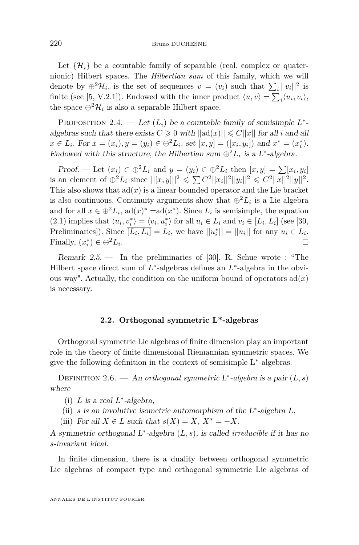<span id="page-10-0"></span>Let  $\{\mathcal{H}_i\}$  be a countable family of separable (real, complex or quaternionic) Hilbert spaces. The *Hilbertian sum* of this family, which we will denote by  $\oplus^2 \mathcal{H}_i$ , is the set of sequences  $v = (v_i)$  such that  $\sum_i ||v_i||^2$  is finite (see [\[5,](#page-33-0) V.2.1]). Endowed with the inner product  $\langle u, v \rangle = \sum_i \langle u_i, v_i \rangle$ , the space  $\oplus^2 \mathcal{H}_i$  is also a separable Hilbert space.

PROPOSITION 2.4. — Let  $(L_i)$  be a countable family of semisimple  $L^*$ algebras such that there exists  $C \geq 0$  with  $||ad(x)|| \leq C ||x||$  for all *i* and all  $x \in L_i$ . For  $x = (x_i)$ ,  $y = (y_i) \in \bigoplus^2 L_i$ , set  $[x, y] = ([x_i, y_i])$  and  $x^* = (x_i^*)$ . Endowed with this structure, the Hilbertian sum  $\bigoplus^2 L_i$  is a L<sup>\*</sup>-algebra.

Proof. — Let  $(x_i) \in \bigoplus^2 L_i$  and  $y = (y_i) \in \bigoplus^2 L_i$  then  $[x, y] = \sum [x_i, y_i]$ is an element of  $\bigoplus^2 L_i$  since  $||[x, y]||^2 \leq \sum C^2 ||x_i||^2 ||y_i||^2 \leq C^2 ||x||^2 ||y||^2$ . This also shows that  $ad(x)$  is a linear bounded operator and the Lie bracket is also continuous. Continuity arguments show that  $\bigoplus^2 L_i$  is a Lie algebra and for all  $x \in \bigoplus^2 L_i$ ,  $ad(x)^* = ad(x^*)$ . Since  $L_i$  is semisimple, the equation  $(2.1)$  implies that  $\langle u_i, v_i^* \rangle = \langle v_i, u_i^* \rangle$  for all  $u_i \in L_i$  and  $v_i \in [L_i, L_i]$  (see [\[30,](#page-34-0) Preliminaries]). Since  $\overline{[L_i, L_i]} = L_i$ , we have  $||u_i^*|| = ||u_i||$  for any  $u_i \in L_i$ . Finally,  $(x_i^*) \in \bigoplus^2 L_i$ .

Remark  $2.5.$  — In the preliminaries of [\[30\]](#page-34-0), R. Schue wrote : "The Hilbert space direct sum of  $L^*$ -algebras defines an  $L^*$ -algebra in the obvious way". Actually, the condition on the uniform bound of operators  $ad(x)$ is necessary.

#### **2.2. Orthogonal symmetric L\*-algebras**

Orthogonal symmetric Lie algebras of finite dimension play an important role in the theory of finite dimensional Riemannian symmetric spaces. We give the following definition in the context of semisimple L<sup>∗</sup> -algebras.

DEFINITION 2.6. — An *orthogonal symmetric*  $L^*$ -algebra is a pair  $(L, s)$ where

(i)  $L$  is a real  $L^*$ -algebra,

(ii) *s* is an involutive isometric automorphism of the L<sup>∗</sup> -algebra *L*,

(iii) For all  $X \in L$  such that  $s(X) = X$ ,  $X^* = -X$ .

A symmetric orthogonal L<sup>∗</sup> -algebra (*L, s*), is called *irreducible* if it has no *s*-invariant ideal.

In finite dimension, there is a duality between orthogonal symmetric Lie algebras of compact type and orthogonal symmetric Lie algebras of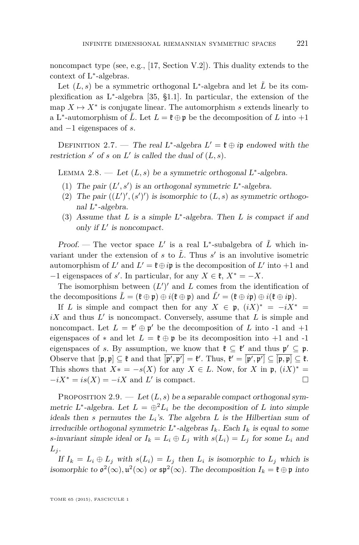<span id="page-11-0"></span>noncompact type (see, e.g., [\[17,](#page-33-0) Section V.2]). This duality extends to the context of L<sup>∗</sup> -algebras.

Let  $(L, s)$  be a symmetric orthogonal L<sup>\*</sup>-algebra and let  $\tilde{L}$  be its complexification as L<sup>∗</sup> -algebra [\[35,](#page-34-0) §1.1]. In particular, the extension of the map  $X \mapsto X^*$  is conjugate linear. The automorphism *s* extends linearly to a L<sup>\*</sup>-automorphism of  $\tilde{L}$ . Let  $L = \mathfrak{k} \oplus \mathfrak{p}$  be the decomposition of  $L$  into  $+1$ and −1 eigenspaces of *s*.

DEFINITION 2.7. — The real L<sup>\*</sup>-algebra  $L' = \mathfrak{k} \oplus i\mathfrak{p}$  endowed with the restriction  $s'$  of  $s$  on  $L'$  is called the dual of  $(L, s)$ .

LEMMA 2.8. — Let  $(L, s)$  be a symmetric orthogonal L<sup>\*</sup>-algebra.

- (1) The pair  $(L', s')$  is an orthogonal symmetric  $L^*$ -algebra.
- (2) The pair  $((L')', (s')')$  is isomorphic to  $(L, s)$  as symmetric orthogonal L<sup>∗</sup> -algebra.
- (3) Assume that *L* is a simple L<sup>∗</sup> -algebra. Then *L* is compact if and only if  $L'$  is noncompact.

Proof. — The vector space  $L'$  is a real L<sup>\*</sup>-subalgebra of  $\tilde{L}$  which invariant under the extension of  $s$  to  $\tilde{L}$ . Thus  $s'$  is an involutive isometric automorphism of *L'* and  $L' = \mathfrak{k} \oplus i\mathfrak{p}$  is the decomposition of *L'* into +1 and  $-1$  eigenspaces of *s*'. In particular, for any  $X \in \mathfrak{k}$ ,  $X^* = -X$ .

The isomorphism between  $(L')'$  and  $L$  comes from the identification of the decompositions  $\tilde{L} = (\mathfrak{k} \oplus \mathfrak{p}) \oplus i(\mathfrak{k} \oplus \mathfrak{p})$  and  $\tilde{L'} = (\mathfrak{k} \oplus i\mathfrak{p}) \oplus i(\mathfrak{k} \oplus i\mathfrak{p}).$ 

If *L* is simple and compact then for any  $X \in \mathfrak{p}$ ,  $(iX)^* = -iX^* =$  $iX$  and thus  $L'$  is noncompact. Conversely, assume that  $L$  is simple and noncompact. Let  $L = \mathfrak{k}' \oplus \mathfrak{p}'$  be the decomposition of *L* into -1 and +1 eigenspaces of  $*$  and let  $L = \mathfrak{k} \oplus \mathfrak{p}$  be its decomposition into  $+1$  and  $-1$ eigenspaces of *s*. By assumption, we know that  $\mathfrak{k} \subseteq \mathfrak{k}'$  and thus  $\mathfrak{p}' \subseteq \mathfrak{p}$ . Observe that  $[\mathfrak{p}, \mathfrak{p}] \subseteq \mathfrak{k}$  and that  $[\mathfrak{p}', \mathfrak{p}'] = \mathfrak{k}'$ . Thus,  $\mathfrak{k}' = [\mathfrak{p}', \mathfrak{p}'] \subseteq [\mathfrak{p}, \mathfrak{p}] \subseteq \mathfrak{k}$ . This shows that  $X^* = -s(X)$  for any  $X \in L$ . Now, for  $X$  in  $\mathfrak{p}, (iX)^* =$  $-iX^* = is(X) = -iX$  and *L*' is compact.

PROPOSITION 2.9. — Let  $(L, s)$  be a separable compact orthogonal symmetric L<sup>\*</sup>-algebra. Let  $L = \bigoplus^2 L_i$  be the decomposition of *L* into simple ideals then *s* permutes the  $L_i$ 's. The algebra  $L$  is the Hilbertian sum of irreducible orthogonal symmetric  $L^*$ -algebras  $I_k$ . Each  $I_k$  is equal to some *s*-invariant simple ideal or  $I_k = L_i \oplus L_j$  with  $s(L_i) = L_j$  for some  $L_i$  and  $L_j$ .

If  $I_k = L_i \oplus L_j$  with  $s(L_i) = L_j$  then  $L_i$  is isomorphic to  $L_j$  which is isomorphic to  $\mathfrak{o}^2(\infty)$ ,  $\mathfrak{u}^2(\infty)$  or  $\mathfrak{sp}^2(\infty)$ . The decomposition  $I_k = \mathfrak{k} \oplus \mathfrak{p}$  into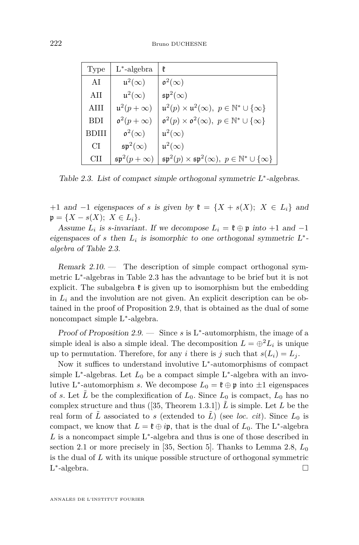| Type       | $L^*$ -algebra              | ŧ.                                                                                      |
|------------|-----------------------------|-----------------------------------------------------------------------------------------|
| AI         | $\mathfrak{u}^2(\infty)$    | $\mathfrak{o}^2(\infty)$                                                                |
| AH         | $\mathfrak{u}^2(\infty)$    | $\mathfrak{sp}^2(\infty)$                                                               |
| AHI        | $\mathfrak{u}^2(p+\infty)$  | $\mathfrak{u}^2(p) \times \mathfrak{u}^2(\infty), \ p \in \mathbb{N}^* \cup \{\infty\}$ |
| <b>BDI</b> | $\mathfrak{o}^2(p+\infty)$  | $\mathfrak{o}^2(p) \times \mathfrak{o}^2(\infty), \ p \in \mathbb{N}^* \cup \{\infty\}$ |
| BDIII      | $\mathfrak{o}^2(\infty)$    | $\mathfrak{u}^2(\infty)$                                                                |
| CI         | $\mathfrak{sp}^2(\infty)$   | $\mathfrak{u}^2(\infty)$                                                                |
| CH         | $\mathfrak{sp}^2(p+\infty)$ | $\mathfrak{sp}^2(p) \times \mathfrak{sp}^2(\infty), p \in \mathbb{N}^* \cup \{\infty\}$ |

Table 2.3. List of compact simple orthogonal symmetric L<sup>\*</sup>-algebras.

+1 and −1 eigenspaces of *s* is given by  $\mathfrak{k} = \{X + s(X); X \in L_i\}$  and  $\mathfrak{p} = \{X - s(X); X \in L_i\}.$ 

Assume  $L_i$  is *s*-invariant. If we decompose  $L_i = \mathfrak{k} \oplus \mathfrak{p}$  into  $+1$  and  $-1$ eigenspaces of *s* then  $L_i$  is isomorphic to one orthogonal symmetric  $L^*$ *algebra* of Table 2.3.

Remark  $2.10$ . — The description of simple compact orthogonal symmetric L<sup>∗</sup> -algebras in Table 2.3 has the advantage to be brief but it is not explicit. The subalgebra  $\mathfrak k$  is given up to isomorphism but the embedding in  $L_i$  and the involution are not given. An explicit description can be obtained in the proof of Proposition [2.9,](#page-11-0) that is obtained as the dual of some noncompact simple L<sup>∗</sup> -algebra.

Proof of Proposition [2.9.](#page-11-0) − Since *s* is L<sup>\*</sup>-automorphism, the image of a simple ideal is also a simple ideal. The decomposition  $L = \bigoplus L_i$  is unique up to permutation. Therefore, for any *i* there is *j* such that  $s(L_i) = L_j$ .

Now it suffices to understand involutive L<sup>∗</sup> -automorphisms of compact simple L<sup>\*</sup>-algebras. Let  $L_0$  be a compact simple L<sup>\*</sup>-algebra with an involutive L<sup>\*</sup>-automorphism *s*. We decompose  $L_0 = \mathfrak{k} \oplus \mathfrak{p}$  into  $\pm 1$  eigenspaces of *s*. Let *L* be the complexification of  $L_0$ . Since  $L_0$  is compact,  $L_0$  has no complex structure and thus ([\[35,](#page-34-0) Theorem 1.3.1])  $\tilde{L}$  is simple. Let  $L$  be the real form of  $\tilde{L}$  associated to *s* (extended to  $\tilde{L}$ ) (see *loc. cit*). Since  $L_0$  is compact, we know that  $L = \mathfrak{k} \oplus i\mathfrak{p}$ , that is the dual of  $L_0$ . The L<sup>\*</sup>-algebra *L* is a noncompact simple L<sup>∗</sup> -algebra and thus is one of those described in section [2.1](#page-8-0) or more precisely in [\[35,](#page-34-0) Section 5]. Thanks to Lemma [2.8,](#page-11-0) *L*<sup>0</sup> is the dual of *L* with its unique possible structure of orthogonal symmetric L ∗ -algebra.  $\Box$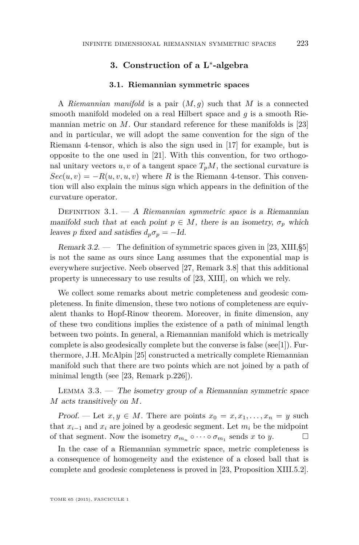#### **3. Construction of a L**<sup>∗</sup> **-algebra**

#### **3.1. Riemannian symmetric spaces**

<span id="page-13-0"></span>A *Riemannian manifold* is a pair (*M, g*) such that *M* is a connected smooth manifold modeled on a real Hilbert space and *g* is a smooth Riemannian metric on *M*. Our standard reference for these manifolds is [\[23\]](#page-34-0) and in particular, we will adopt the same convention for the sign of the Riemann 4-tensor, which is also the sign used in [\[17\]](#page-33-0) for example, but is opposite to the one used in [\[21\]](#page-33-0). With this convention, for two orthogonal unitary vectors  $u, v$  of a tangent space  $T_pM$ , the sectional curvature is  $Sec(u, v) = -R(u, v, u, v)$  where *R* is the Riemann 4-tensor. This convention will also explain the minus sign which appears in the definition of the curvature operator.

Definition 3.1. — A *Riemannian symmetric space* is a Riemannian manifold such that at each point  $p \in M$ , there is an isometry,  $\sigma_p$  which leaves *p* fixed and satisfies  $d_p \sigma_p = -Id$ .

Remark 3.2. — The definition of symmetric spaces given in [\[23,](#page-34-0) XIII,§5] is not the same as ours since Lang assumes that the exponential map is everywhere surjective. Neeb observed [\[27,](#page-34-0) Remark 3.8] that this additional property is unnecessary to use results of [\[23,](#page-34-0) XIII], on which we rely.

We collect some remarks about metric completeness and geodesic completeness. In finite dimension, these two notions of completeness are equivalent thanks to Hopf-Rinow theorem. Moreover, in finite dimension, any of these two conditions implies the existence of a path of minimal length between two points. In general, a Riemannian manifold which is metrically complete is also geodesically complete but the converse is false (see[\[1\]](#page-33-0)). Furthermore, J.H. McAlpin [\[25\]](#page-34-0) constructed a metrically complete Riemannian manifold such that there are two points which are not joined by a path of minimal length (see [\[23,](#page-34-0) Remark p.226]).

LEMMA  $3.3.$  — The isometry group of a Riemannian symmetric space *M* acts transitively on *M*.

Proof. — Let  $x, y \in M$ . There are points  $x_0 = x, x_1, \ldots, x_n = y$  such that  $x_{i-1}$  and  $x_i$  are joined by a geodesic segment. Let  $m_i$  be the midpoint of that segment. Now the isometry  $\sigma_{m_n} \circ \cdots \circ \sigma_{m_1}$  sends *x* to *y*.

In the case of a Riemannian symmetric space, metric completeness is a consequence of homogeneity and the existence of a closed ball that is complete and geodesic completeness is proved in [\[23,](#page-34-0) Proposition XIII.5.2].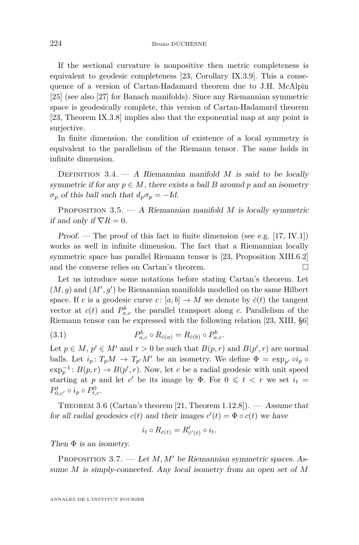<span id="page-14-0"></span>If the sectional curvature is nonpositive then metric completeness is equivalent to geodesic completeness [\[23,](#page-34-0) Corollary IX.3.9]. This a consequence of a version of Cartan-Hadamard theorem due to J.H. McAlpin [\[25\]](#page-34-0) (see also [\[27\]](#page-34-0) for Banach manifolds). Since any Riemannian symmetric space is geodesically complete, this version of Cartan-Hadamard theorem [\[23,](#page-34-0) Theorem IX.3.8] implies also that the exponential map at any point is surjective.

In finite dimension, the condition of existence of a local symmetry is equivalent to the parallelism of the Riemann tensor. The same holds in infinite dimension.

DEFINITION  $3.4. - A$  Riemannian manifold *M* is said to be locally symmetric if for any  $p \in M$ , there exists a ball *B* around *p* and an isometry  $\sigma_p$  of this ball such that  $d_p \sigma_p = -Id$ .

PROPOSITION 3.5. — A Riemannian manifold *M* is locally symmetric if and only if  $\nabla R = 0$ .

Proof. — The proof of this fact in finite dimension (see e.g. [\[17,](#page-33-0) IV.1]) works as well in infinite dimension. The fact that a Riemannian locally symmetric space has parallel Riemann tensor is [\[23,](#page-34-0) Proposition XIII.6.2] and the converse relies on Cartan's theorem.

Let us introduce some notations before stating Cartan's theorem. Let  $(M, g)$  and  $(M', g')$  be Riemannian manifolds modelled on the same Hilbert space. If *c* is a geodesic curve *c*:  $[a, b] \to M$  we denote by  $\dot{c}(t)$  the tangent vector at  $c(t)$  and  $P_{a,c}^b$  the parallel transport along c. Parallelism of the Riemann tensor can be expressed with the following relation [\[23,](#page-34-0) XIII, §6]

(3.1) 
$$
P_{a,c}^{b} \circ R_{\dot{c}(a)} = R_{\dot{c}(b)} \circ P_{a,c}^{b}.
$$

Let  $p \in M$ ,  $p' \in M'$  and  $r > 0$  be such that  $B(p, r)$  and  $B(p', r)$  are normal balls. Let  $i_p: T_pM \to T_{p'}M'$  be an isometry. We define  $\Phi = \exp_{p'} \circ i_p \circ f'$  $\exp_p^{-1}: B(p,r) \to B(p',r)$ . Now, let *c* be a radial geodesic with unit speed starting at *p* and let *c*' be its image by  $\Phi$ . For  $0 \leq t < r$  we set  $i_t =$  $P_{0,c'}^{t} \circ i_{p} \circ P_{t,c}^{0}$ .

THEOREM 3.6 (Cartan's theorem [\[21,](#page-33-0) Theorem 1.12.8]).  $-$  Assume that for all radial geodesics  $c(t)$  and their images  $c'(t) = \Phi \circ c(t)$  we have

$$
i_t \circ R_{\dot{c}(t)} = R'_{\dot{c}'(t)} \circ i_t.
$$

Then  $\Phi$  is an isometry.

PROPOSITION 3.7. — Let  $M, M'$  be Riemannian symmetric spaces. Assume *M* is simply-connected. Any local isometry from an open set of *M*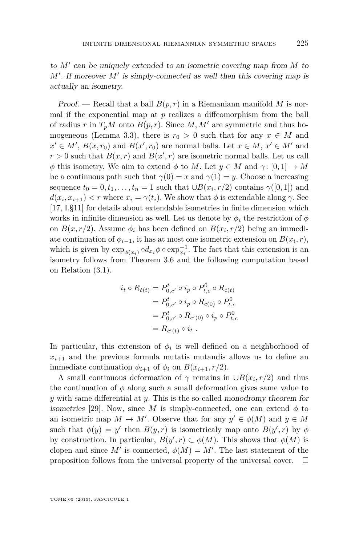to  $M'$  can be uniquely extended to an isometric covering map from  $M$  to  $M'$ . If moreover  $M'$  is simply-connected as well then this covering map is actually an isometry.

Proof. — Recall that a ball  $B(p, r)$  in a Riemaniann manifold M is normal if the exponential map at  $p$  realizes a diffeomorphism from the ball of radius *r* in  $T_pM$  onto  $B(p, r)$ . Since M, M' are symmetric and thus ho-mogeneous (Lemma [3.3\)](#page-13-0), there is  $r_0 > 0$  such that for any  $x \in M$  and  $x' \in M'$ ,  $B(x, r_0)$  and  $B(x', r_0)$  are normal balls. Let  $x \in M$ ,  $x' \in M'$  and  $r > 0$  such that  $B(x, r)$  and  $B(x', r)$  are isometric normal balls. Let us call *φ* this isometry. We aim to extend *φ* to *M*. Let  $y \in M$  and  $\gamma : [0, 1] \to M$ be a continuous path such that  $\gamma(0) = x$  and  $\gamma(1) = y$ . Choose a increasing sequence  $t_0 = 0, t_1, \ldots, t_n = 1$  such that  $\cup B(x_i, r/2)$  contains  $\gamma([0, 1])$  and  $d(x_i, x_{i+1}) < r$  where  $x_i = \gamma(t_i)$ . We show that  $\phi$  is extendable along  $\gamma$ . See [\[17,](#page-33-0) I.§11] for details about extendable isometries in finite dimension which works in infinite dimension as well. Let us denote by  $\phi_i$  the restriction of  $\phi$ on  $B(x, r/2)$ . Assume  $\phi_i$  has been defined on  $B(x_i, r/2)$  being an immediate continuation of  $\phi_{i-1}$ , it has at most one isometric extension on  $B(x_i, r)$ , which is given by  $\exp_{\phi(x_i)} \circ d_{x_i} \phi \circ \exp_{x_i}^{-1}$ . The fact that this extension is an isometry follows from Theorem [3.6](#page-14-0) and the following computation based on Relation [\(3.1\)](#page-14-0).

$$
i_t \circ R_{\dot{c}(t)} = P_{0,c'}^t \circ i_p \circ P_{t,c}^0 \circ R_{\dot{c}(t)}
$$
  
=  $P_{0,c'}^t \circ i_p \circ R_{\dot{c}(0)} \circ P_{t,c}^0$   
=  $P_{0,c'}^t \circ R_{\dot{c}'(0)} \circ i_p \circ P_{t,c}^0$   
=  $R_{\dot{c}'(t)} \circ i_t$ .

In particular, this extension of  $\phi_i$  is well defined on a neighborhood of  $x_{i+1}$  and the previous formula mutatis mutandis allows us to define an immediate continuation  $\phi_{i+1}$  of  $\phi_i$  on  $B(x_{i+1}, r/2)$ .

A small continuous deformation of  $\gamma$  remains in  $\cup B(x_i, r/2)$  and thus the continuation of  $\phi$  along such a small deformation gives same value to *y* with same differential at *y*. This is the so-called monodromy theorem for isometries [\[29\]](#page-34-0). Now, since M is simply-connected, one can extend  $\phi$  to an isometric map  $M \to M'$ . Observe that for any  $y' \in \phi(M)$  and  $y \in M$ such that  $\phi(y) = y'$  then  $B(y, r)$  is isometricaly map onto  $B(y', r)$  by  $\phi$ by construction. In particular,  $B(y', r) \subset \phi(M)$ . This shows that  $\phi(M)$  is clopen and since  $M'$  is connected,  $\phi(M) = M'$ . The last statement of the proposition follows from the universal property of the universal cover.  $\Box$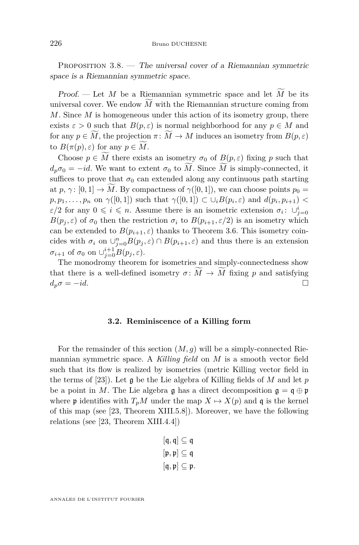<span id="page-16-0"></span>PROPOSITION  $3.8.$  — The universal cover of a Riemannian symmetric space is a Riemannian symmetric space.

Proof. — Let M be a Riemannian symmetric space and let  $\widetilde{M}$  be its universal cover. We endow  $\overline{M}$  with the Riemannian structure coming from *M*. Since *M* is homogeneous under this action of its isometry group, there exists  $\varepsilon > 0$  such that  $B(p, \varepsilon)$  is normal neighborhood for any  $p \in M$  and for any  $p \in M$ , the projection  $\pi \colon M \to M$  induces an isometry from  $B(p, \varepsilon)$ to  $B(\pi(p), \varepsilon)$  for any  $p \in M$ .

Choose  $p \in \widetilde{M}$  there exists an isometry  $\sigma_0$  of  $B(p, \varepsilon)$  fixing p such that  $d_p \sigma_0 = -id$ . We want to extent  $\sigma_0$  to *M*. Since *M* is simply-connected, it suffices to prove that  $\sigma_0$  can extended along any continuous path starting at *p*,  $\gamma$ :  $[0, 1] \rightarrow M$ . By compactness of  $\gamma([0, 1])$ , we can choose points  $p_0 =$  $p, p_1, \ldots, p_n$  on  $\gamma([0,1])$  such that  $\gamma([0,1]) \subset \cup_i B(p_i, \varepsilon)$  and  $d(p_i, p_{i+1})$ *ε*/2 for any  $0 \leq i \leq n$ . Assume there is an isometric extension  $\sigma_i: \cup_{j=0}^i$ *B*( $p_j$ ,  $\varepsilon$ ) of  $\sigma_0$  then the restriction  $\sigma_i$  to  $B(p_{i+1}, \varepsilon/2)$  is an isometry which can be extended to  $B(p_{i+1}, \varepsilon)$  thanks to Theorem [3.6.](#page-14-0) This isometry coincides with  $\sigma_i$  on  $\cup_{j=0}^n B(p_j, \varepsilon) \cap B(p_{i+1}, \varepsilon)$  and thus there is an extension  $\sigma_{i+1}$  of  $\sigma_0$  on  $\cup_{j=0}^{i+1} B(p_j, \varepsilon)$ .

The monodromy theorem for isometries and simply-connectedness show that there is a well-defined isometry  $\sigma \colon \widetilde{M} \to \widetilde{M}$  fixing *p* and satisfying  $d_{\sigma} \sigma = -id$  $d_p \sigma = -id$ .

#### **3.2. Reminiscence of a Killing form**

For the remainder of this section  $(M, g)$  will be a simply-connected Riemannian symmetric space. A *Killing field* on *M* is a smooth vector field such that its flow is realized by isometries (metric Killing vector field in the terms of [\[23\]](#page-34-0)). Let g be the Lie algebra of Killing fields of *M* and let *p* be a point in *M*. The Lie algebra g has a direct decomposition  $\mathfrak{g} = \mathfrak{q} \oplus \mathfrak{p}$ where **p** identifies with  $T_pM$  under the map  $X \mapsto X(p)$  and q is the kernel of this map (see [\[23,](#page-34-0) Theorem XIII.5.8]). Moreover, we have the following relations (see [\[23,](#page-34-0) Theorem XIII.4.4])

$$
[\mathfrak{q},\mathfrak{q}] \subseteq \mathfrak{q}
$$
  

$$
[\mathfrak{p},\mathfrak{p}] \subseteq \mathfrak{q}
$$
  

$$
[\mathfrak{q},\mathfrak{p}] \subseteq \mathfrak{p}.
$$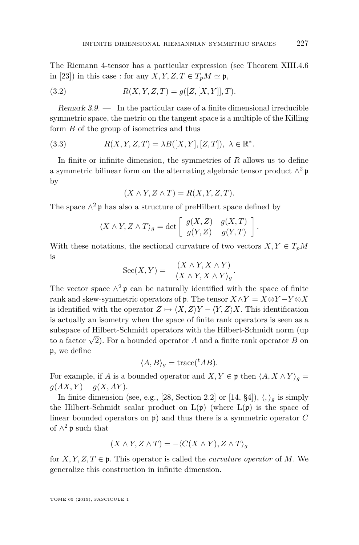<span id="page-17-0"></span>The Riemann 4-tensor has a particular expression (see Theorem XIII.4.6 in [\[23\]](#page-34-0)) in this case : for any *X, Y, Z, T*  $\in T_pM \simeq \mathfrak{p}$ ,

(3.2) 
$$
R(X, Y, Z, T) = g([Z, [X, Y]], T).
$$

Remark  $3.9.$  — In the particular case of a finite dimensional irreducible symmetric space, the metric on the tangent space is a multiple of the Killing form *B* of the group of isometries and thus

(3.3) 
$$
R(X, Y, Z, T) = \lambda B([X, Y], [Z, T]), \lambda \in \mathbb{R}^*.
$$

In finite or infinite dimension, the symmetries of *R* allows us to define a symmetric bilinear form on the alternating algebraic tensor product  $\wedge^2$  p by

$$
(X \wedge Y, Z \wedge T) = R(X, Y, Z, T).
$$

The space  $\wedge^2$  p has also a structure of preHilbert space defined by

$$
\langle X \wedge Y, Z \wedge T \rangle_g = \det \left[ \begin{array}{cc} g(X, Z) & g(X, T) \\ g(Y, Z) & g(Y, T) \end{array} \right].
$$

With these notations, the sectional curvature of two vectors  $X, Y \in T_pM$ is

$$
Sec(X,Y) = -\frac{(X \wedge Y, X \wedge Y)}{\langle X \wedge Y, X \wedge Y \rangle_g}.
$$

The vector space  $\wedge^2$  p can be naturally identified with the space of finite rank and skew-symmetric operators of p. The tensor  $X \wedge Y = X \otimes Y - Y \otimes X$ is identified with the operator  $Z \mapsto \langle X, Z \rangle Y - \langle Y, Z \rangle X$ . This identification is actually an isometry when the space of finite rank operators is seen as a subspace of Hilbert-Schmidt operators with the Hilbert-Schmidt norm (up to a factor  $\sqrt{2}$ ). For a bounded operator *A* and a finite rank operator *B* on p, we define

$$
\langle A, B \rangle_g = \text{trace}({}^t A B).
$$

For example, if *A* is a bounded operator and  $X, Y \in \mathfrak{p}$  then  $\langle A, X \wedge Y \rangle_q =$  $g(AX, Y) - g(X, AY).$ 

In finite dimension (see, e.g., [\[28,](#page-34-0) Section 2.2] or [\[14,](#page-33-0) §4]),  $\langle, \rangle_a$  is simply the Hilbert-Schmidt scalar product on  $L(\mathfrak{p})$  (where  $L(\mathfrak{p})$  is the space of linear bounded operators on p) and thus there is a symmetric operator *C* of  $\wedge^2$  p such that

$$
(X \wedge Y, Z \wedge T) = -\langle C(X \wedge Y), Z \wedge T \rangle_g
$$

for  $X, Y, Z, T \in \mathfrak{p}$ . This operator is called the *curvature operator* of M. We generalize this construction in infinite dimension.

TOME 65 (2015), FASCICULE 1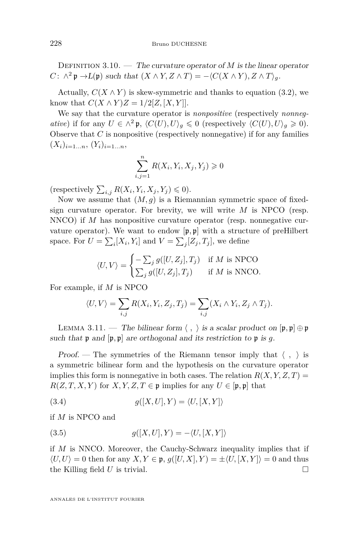<span id="page-18-0"></span>DEFINITION 3.10. — The curvature operator of  $M$  is the linear operator  $C: \wedge^2 \mathfrak{p} \to L(\mathfrak{p})$  such that  $(X \wedge Y, Z \wedge T) = -\langle C(X \wedge Y), Z \wedge T \rangle_g$ .

Actually,  $C(X \wedge Y)$  is skew-symmetric and thanks to equation [\(3.2\)](#page-17-0), we know that  $C(X \wedge Y)Z = 1/2[Z, [X, Y]].$ 

We say that the curvature operator is *nonpositive* (respectively *nonnegative*) if for any  $U \in \wedge^2 \mathfrak{p}, \langle C(U), U \rangle_a \leq 0$  (respectively  $\langle C(U), U \rangle_a \geq 0$ ). Observe that *C* is nonpositive (respectively nonnegative) if for any families  $(X_i)_{i=1...n}, (Y_i)_{i=1...n}$ 

$$
\sum_{i,j=1}^{n} R(X_i, Y_i, X_j, Y_j) \geq 0
$$

(respectively  $\sum_{i,j} R(X_i, Y_i, X_j, Y_j) \leq 0$ ).

Now we assume that  $(M, g)$  is a Riemannian symmetric space of fixedsign curvature operator. For brevity, we will write *M* is NPCO (resp. NNCO) if *M* has nonpositive curvature operator (resp. nonnegative curvature operator). We want to endow [p*,* p] with a structure of preHilbert space. For  $U = \sum_i [X_i, Y_i]$  and  $V = \sum_j [Z_j, T_j]$ , we define

$$
\langle U, V \rangle = \begin{cases} -\sum_{j} g([U, Z_j], T_j) & \text{if } M \text{ is } \text{NPCO} \\ \sum_{j} g([U, Z_j], T_j) & \text{if } M \text{ is } \text{NNCO.} \end{cases}
$$

For example, if *M* is NPCO

$$
\langle U, V \rangle = \sum_{i,j} R(X_i, Y_i, Z_j, T_j) = \sum_{i,j} (X_i \wedge Y_i, Z_j \wedge T_j).
$$

LEMMA 3.11. — The bilinear form  $\langle , \rangle$  is a scalar product on  $[\mathfrak{p}, \mathfrak{p}] \oplus \mathfrak{p}$ such that  $\mathfrak p$  and  $[\mathfrak p, \mathfrak p]$  are orthogonal and its restriction to  $\mathfrak p$  is g.

Proof. — The symmetries of the Riemann tensor imply that  $\langle , \rangle$  is a symmetric bilinear form and the hypothesis on the curvature operator implies this form is nonnegative in both cases. The relation  $R(X, Y, Z, T) =$  $R(Z, T, X, Y)$  for *X, Y, Z, T*  $\in \mathfrak{p}$  implies for any *U*  $\in [\mathfrak{p}, \mathfrak{p}]$  that

$$
(3.4) \t\t g([X,U],Y) = \langle U,[X,Y] \rangle
$$

if *M* is NPCO and

$$
(3.5) \qquad \qquad g([X,U],Y) = -\langle U,[X,Y]\rangle
$$

if *M* is NNCO. Moreover, the Cauchy-Schwarz inequality implies that if  $\langle U, U \rangle = 0$  then for any  $X, Y \in \mathfrak{p}$ ,  $g([U, X], Y) = \pm \langle U, [X, Y] \rangle = 0$  and thus the Killing field  $U$  is trivial.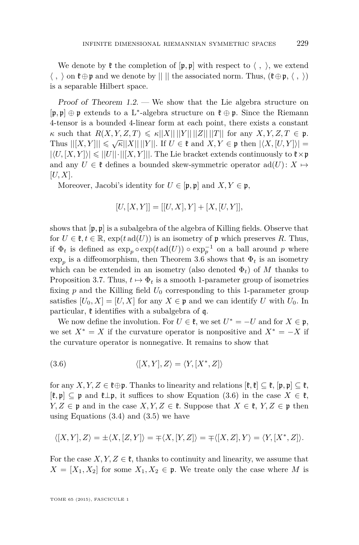We denote by  $\mathfrak k$  the completion of  $[\mathfrak p, \mathfrak p]$  with respect to  $\langle , \rangle$ , we extend  $\langle , \rangle$  on  $\mathfrak{k} \oplus \mathfrak{p}$  and we denote by  $|| \cdot ||$  the associated norm. Thus,  $(\mathfrak{k} \oplus \mathfrak{p}, \langle , \rangle)$ is a separable Hilbert space.

Proof of Theorem [1.2.](#page-3-0) — We show that the Lie algebra structure on [p*,* p] ⊕ p extends to a L<sup>∗</sup> -algebra structure on k ⊕ p. Since the Riemann 4-tensor is a bounded 4-linear form at each point, there exists a constant  $\kappa$  such that  $R(X, Y, Z, T) \leq \kappa ||X|| ||Y|| ||Z|| ||T||$  for any  $X, Y, Z, T \in \mathfrak{p}$ .  $\mathcal{H}$  such that  $H(X, Y, Z, Z) \leq \mathcal{H}$   $||X|| ||Y||$ . If  $U \in \mathfrak{k}$  and  $X, Y \in \mathfrak{p}$  then  $|\langle X, [U, Y] \rangle| =$  $|\langle U, [X, Y] \rangle| \leq ||U|| \cdot ||[X, Y]||$ . The Lie bracket extends continuously to  $\mathfrak{k} \times \mathfrak{p}$ and any  $U \in \mathfrak{k}$  defines a bounded skew-symmetric operator  $\text{ad}(U) : X \mapsto$ [*U, X*].

Moreover, Jacobi's identity for  $U \in [\mathfrak{p}, \mathfrak{p}]$  and  $X, Y \in \mathfrak{p}$ ,

$$
[U, [X, Y]] = [[U, X], Y] + [X, [U, Y]],
$$

shows that  $[\mathfrak{p}, \mathfrak{p}]$  is a subalgebra of the algebra of Killing fields. Observe that for  $U \in \mathfrak{k}, t \in \mathbb{R}$ ,  $\exp(t \operatorname{ad}(U))$  is an isometry of p which preserves R. Thus, if  $\Phi_t$  is defined as  $\exp_p \circ \exp(t \operatorname{ad}(U)) \circ \exp_p^{-1}$  on a ball around *p* where  $\exp_p$  is a diffeomorphism, then Theorem [3.6](#page-14-0) shows that  $\Phi_t$  is an isometry which can be extended in an isometry (also denoted  $\Phi_t$ ) of *M* thanks to Proposition [3.7.](#page-14-0) Thus,  $t \mapsto \Phi_t$  is a smooth 1-parameter group of isometries fixing  $p$  and the Killing field  $U_0$  corresponding to this 1-parameter group satisfies  $[U_0, X] = [U, X]$  for any  $X \in \mathfrak{p}$  and we can identify *U* with  $U_0$ . In particular,  $\ddot{\mathbf{t}}$  identifies with a subalgebra of q.

We now define the involution. For  $U \in \mathfrak{k}$ , we set  $U^* = -U$  and for  $X \in \mathfrak{p}$ , we set  $X^* = X$  if the curvature operator is nonpositive and  $X^* = -X$  if the curvature operator is nonnegative. It remains to show that

(3.6) 
$$
\langle [X,Y],Z\rangle = \langle Y,[X^*,Z]\rangle
$$

for any *X, Y, Z*  $\in \mathfrak{k} \oplus \mathfrak{p}$ . Thanks to linearity and relations  $[\mathfrak{k}, \mathfrak{k}] \subseteq \mathfrak{k}$ ,  $[\mathfrak{p}, \mathfrak{p}] \subseteq \mathfrak{k}$ , [k*,* p] ⊆ p and k⊥p, it suffices to show Equation (3.6) in the case *X* ∈ k, *Y*, *Z* ∈ **p** and in the case *X*, *Y*, *Z* ∈ **t**. Suppose that *X* ∈ **t**, *Y*, *Z* ∈ **p** then using Equations  $(3.4)$  and  $(3.5)$  we have

$$
\langle [X,Y],Z\rangle=\pm\langle X,[Z,Y]\rangle=\mp\langle X,[Y,Z]\rangle=\mp\langle [X,Z],Y\rangle=\langle Y,[X^*,Z]\rangle.
$$

For the case  $X, Y, Z \in \mathfrak{k}$ , thanks to continuity and linearity, we assume that  $X = [X_1, X_2]$  for some  $X_1, X_2 \in \mathfrak{p}$ . We treate only the case where *M* is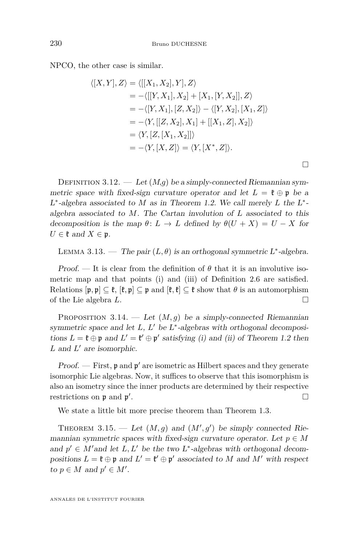<span id="page-20-0"></span>NPCO, the other case is similar.

$$
\langle [X, Y], Z \rangle = \langle [[X_1, X_2], Y], Z \rangle
$$
  
= -\langle [[Y, X\_1], X\_2] + [X\_1, [Y, X\_2]], Z \rangle  
= -\langle [Y, X\_1], [Z, X\_2] \rangle - \langle [Y, X\_2], [X\_1, Z] \rangle  
= -\langle Y, [[Z, X\_2], X\_1] + [[X\_1, Z], X\_2] \rangle  
= \langle Y, [Z, [X\_1, X\_2]] \rangle  
= -\langle Y, [X, Z] \rangle = \langle Y, [X^\*, Z] \rangle.

 $\Box$ 

DEFINITION 3.12. — Let  $(M,g)$  be a simply-connected Riemannian symmetric space with fixed-sign curvature operator and let  $L = \mathfrak{k} \oplus \mathfrak{p}$  be a L<sup>\*</sup>-algebra associated to *M* as in Theorem [1.2.](#page-3-0) We call merely *L* the L<sup>\*</sup>algebra associated to *M*. The Cartan involution of *L* associated to this decomposition is the map  $\theta: L \to L$  defined by  $\theta(U+X) = U - X$  for  $U \in \mathfrak{k}$  and  $X \in \mathfrak{p}$ .

LEMMA 3.13. — The pair  $(L, \theta)$  is an orthogonal symmetric L<sup>\*</sup>-algebra.

Proof. — It is clear from the definition of  $\theta$  that it is an involutive isometric map and that points (i) and (iii) of Definition [2.6](#page-10-0) are satisfied. Relations  $[\mathfrak{p}, \mathfrak{p}] \subseteq \mathfrak{k}, [\mathfrak{k}, \mathfrak{p}] \subseteq \mathfrak{p}$  and  $[\mathfrak{k}, \mathfrak{k}] \subseteq \mathfrak{k}$  show that  $\theta$  is an automorphism of the Lie algebra *L*.

PROPOSITION 3.14. — Let  $(M, q)$  be a simply-connected Riemannian symmetric space and let  $L, L'$  be  $L^*$ -algebras with orthogonal decompositions  $L = \mathfrak{k} \oplus \mathfrak{p}$  and  $L' = \mathfrak{k}' \oplus \mathfrak{p}'$  satisfying (i) and (ii) of Theorem [1.2](#page-3-0) then *L* and *L'* are isomorphic.

Proof.  $-$  First,  $\mathfrak p$  and  $\mathfrak p'$  are isometric as Hilbert spaces and they generate isomorphic Lie algebras. Now, it suffices to observe that this isomorphism is also an isometry since the inner products are determined by their respective restrictions on  $\mathfrak p$  and  $\mathfrak p'$ .

We state a little bit more precise theorem than Theorem [1.3.](#page-3-0)

THEOREM 3.15. — Let  $(M, g)$  and  $(M', g')$  be simply connected Riemannian symmetric spaces with fixed-sign curvature operator. Let  $p \in M$ and  $p' \in M'$  and let  $L, L'$  be the two  $L^*$ -algebras with orthogonal decompositions  $L = \mathfrak{k} \oplus \mathfrak{p}$  and  $L' = \mathfrak{k}' \oplus \mathfrak{p}'$  associated to *M* and *M'* with respect to  $p \in M$  and  $p' \in M'$ .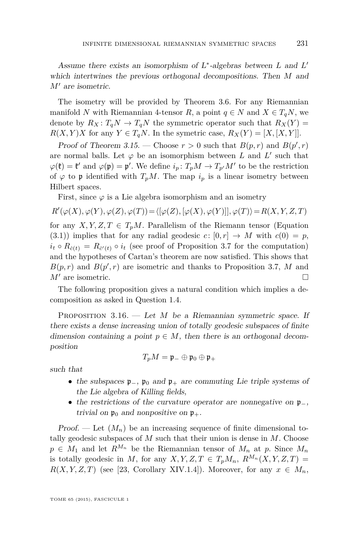<span id="page-21-0"></span>Assume there exists an isomorphism of L<sup>∗</sup> -algebras between *L* and *L* 0 which intertwines the previous orthogonal decompositions. Then *M* and *M'* are isometric.

The isometry will be provided by Theorem [3.6.](#page-14-0) For any Riemannian manifold *N* with Riemannian 4-tensor *R*, a point  $q \in N$  and  $X \in T_qN$ , we denote by  $R_X: T_qN \to T_qN$  the symmetric operator such that  $R_X(Y) =$  $R(X, Y)X$  for any  $Y \in T_qN$ . In the symetric case,  $R_X(Y) = [X, [X, Y]].$ 

Proof of Theorem [3.15.](#page-20-0) – Choose  $r > 0$  such that  $B(p, r)$  and  $B(p', r)$ are normal balls. Let  $\varphi$  be an isomorphism between *L* and *L'* such that  $\varphi(\mathfrak{k}) = \mathfrak{k}'$  and  $\varphi(\mathfrak{p}) = \mathfrak{p}'$ . We define  $i_p \colon T_pM \to T_{p'}M'$  to be the restriction of  $\varphi$  to p identified with  $T_pM$ . The map  $i_p$  is a linear isometry between Hilbert spaces.

First, since  $\varphi$  is a Lie algebra isomorphism and an isometry

$$
R'(\varphi(X),\varphi(Y),\varphi(Z),\varphi(T)) = \langle [\varphi(Z),[\varphi(X),\varphi(Y)]],\varphi(T) \rangle = R(X,Y,Z,T)
$$

for any  $X, Y, Z, T \in T_pM$ . Parallelism of the Riemann tensor (Equation  $(3.1)$  implies that for any radial geodesic  $c: [0, r] \rightarrow M$  with  $c(0) = p$ ,  $i_t \circ R_{\dot{c}(t)} = R_{\dot{c}'(t)} \circ i_t$  (see proof of Proposition [3.7](#page-14-0) for the computation) and the hypotheses of Cartan's theorem are now satisfied. This shows that  $B(p,r)$  and  $B(p',r)$  are isometric and thanks to Proposition [3.7,](#page-14-0) *M* and  $M'$  are isometric.

The following proposition gives a natural condition which implies a decomposition as asked in Question [1.4.](#page-4-0)

PROPOSITION 3.16. — Let *M* be a Riemannian symmetric space. If there exists a dense increasing union of totally geodesic subspaces of finite dimension containing a point  $p \in M$ , then there is an orthogonal decomposition

$$
T_pM=\mathfrak{p}_-\oplus\mathfrak{p}_0\oplus\mathfrak{p}_+
$$

such that

- the subspaces  $\mathfrak{p}_-, \mathfrak{p}_0$  and  $\mathfrak{p}_+$  are commuting Lie triple systems of the Lie algebra of Killing fields,
- the restrictions of the curvature operator are nonnegative on p−, trivial on  $\mathfrak{p}_0$  and nonpositive on  $\mathfrak{p}_+$ .

Proof. — Let  $(M_n)$  be an increasing sequence of finite dimensional totally geodesic subspaces of *M* such that their union is dense in *M*. Choose  $p \in M_1$  and let  $R^{M_n}$  be the Riemannian tensor of  $M_n$  at p. Since  $M_n$ is totally geodesic in *M*, for any *X,Y,Z,T*  $\in T_pM_n$ ,  $R^{M_n}(X, Y, Z, T) =$  $R(X, Y, Z, T)$  (see [\[23,](#page-34-0) Corollary XIV.1.4]). Moreover, for any  $x \in M_n$ ,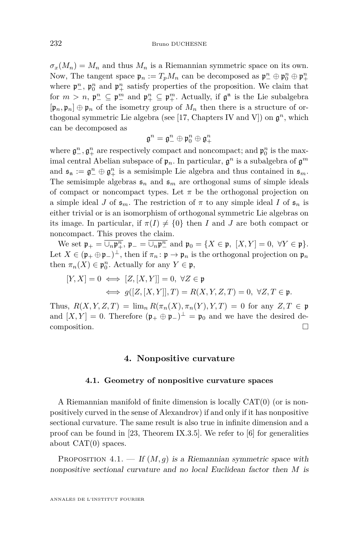$\sigma_x(M_n) = M_n$  and thus  $M_n$  is a Riemannian symmetric space on its own. Now, The tangent space  $\mathfrak{p}_n := T_p M_n$  can be decomposed as  $\mathfrak{p}_-^n \oplus \mathfrak{p}_0^n \oplus \mathfrak{p}_+^n$ where  $\mathfrak{p}^n_-, \mathfrak{p}^n_0$  and  $\mathfrak{p}^n_+$  satisfy properties of the proposition. We claim that for  $m > n$ ,  $\mathfrak{p}_{-}^n \subseteq \mathfrak{p}_{-}^m$  and  $\mathfrak{p}_{+}^n \subseteq \mathfrak{p}_{+}^m$ . Actually, if  $\mathfrak{g}^n$  is the Lie subalgebra  $[\mathfrak{p}_n, \mathfrak{p}_n] \oplus \mathfrak{p}_n$  of the isometry group of  $M_n$  then there is a structure of or-thogonal symmetric Lie algebra (see [\[17,](#page-33-0) Chapters IV and V]) on  $\mathfrak{g}^n$ , which can be decomposed as

$$
\mathfrak{g}^n=\mathfrak{g}^n_-\oplus \mathfrak{p}^n_0\oplus \mathfrak{g}^n_+
$$

where  $\mathfrak{g}^n_-, \mathfrak{g}^n_+$  are respectively compact and noncompact; and  $\mathfrak{p}^n_0$  is the maximal central Abelian subspace of  $\mathfrak{p}_n$ . In particular,  $\mathfrak{g}^n$  is a subalgebra of  $\mathfrak{g}^m$ and  $\mathfrak{s}_{\mathfrak{n}} := \mathfrak{g}_{-}^n \oplus \mathfrak{g}_{+}^n$  is a semisimple Lie algebra and thus contained in  $\mathfrak{s}_m$ . The semisimple algebras  $\mathfrak{s}_n$  and  $\mathfrak{s}_m$  are orthogonal sums of simple ideals of compact or noncompact types. Let  $\pi$  be the orthogonal projection on a simple ideal *J* of  $\mathfrak{s}_m$ . The restriction of  $\pi$  to any simple ideal *I* of  $\mathfrak{s}_n$  is either trivial or is an isomorphism of orthogonal symmetric Lie algebras on its image. In particular, if  $\pi(I) \neq \{0\}$  then *I* and *J* are both compact or noncompact. This proves the claim.

We set  $\mathfrak{p}_+ = \overline{\cup_n \mathfrak{p}_+^n}$ ,  $\mathfrak{p}_- = \overline{\cup_n \mathfrak{p}_-^n}$  and  $\mathfrak{p}_0 = \{X \in \mathfrak{p}, \ [X, Y] = 0, \ \forall Y \in \mathfrak{p}\}.$ Let  $X \in (\mathfrak{p}_+ \oplus \mathfrak{p}_-)^\perp$ , then if  $\pi_n : \mathfrak{p} \to \mathfrak{p}_n$  is the orthogonal projection on  $\mathfrak{p}_n$ then  $\pi_n(X) \in \mathfrak{p}_0^n$ . Actually for any  $Y \in \mathfrak{p}$ ,

$$
[Y, X] = 0 \iff [Z, [X, Y]] = 0, \ \forall Z \in \mathfrak{p}
$$

$$
\iff g([Z, [X, Y]], T) = R(X, Y, Z, T) = 0, \ \forall Z, T \in \mathfrak{p}.
$$

Thus,  $R(X, Y, Z, T) = \lim_{n} R(\pi_n(X), \pi_n(Y), Y, T) = 0$  for any  $Z, T \in \mathfrak{p}$ and  $[X, Y] = 0$ . Therefore  $(\mathfrak{p}_+ \oplus \mathfrak{p}_-)^\perp = \mathfrak{p}_0$  and we have the desired decomposition.  $\Box$ 

#### **4. Nonpositive curvature**

#### **4.1. Geometry of nonpositive curvature spaces**

A Riemannian manifold of finite dimension is locally CAT(0) (or is nonpositively curved in the sense of Alexandrov) if and only if it has nonpositive sectional curvature. The same result is also true in infinite dimension and a proof can be found in [\[23,](#page-34-0) Theorem IX.3.5]. We refer to [\[6\]](#page-33-0) for generalities about  $CAT(0)$  spaces.

PROPOSITION  $4.1.$  – If  $(M, g)$  is a Riemannian symmetric space with nonpositive sectional curvature and no local Euclidean factor then *M* is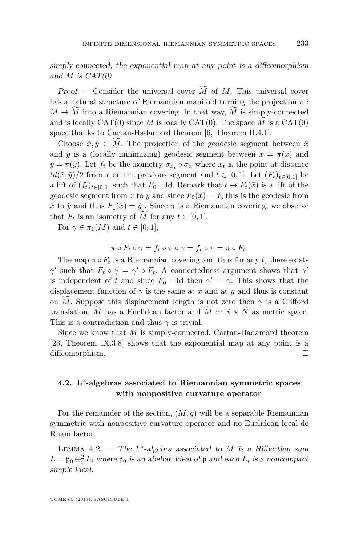<span id="page-23-0"></span>simply-connected, the exponential map at any point is a diffeomorphism and  $M$  is  $CAT(0)$ .

Proof. — Consider the universal cover  $\tilde{M}$  of  $M$ . This universal cover has a natural structure of Riemannian manifold turning the projection *π* :  $M \to M$  into a Riemannian covering. In that way, M is simply-connected and is locally  $CAT(0)$  since M is locally  $CAT(0)$ . The space M is a  $CAT(0)$ space thanks to Cartan-Hadamard theorem [\[6,](#page-33-0) Theorem II.4.1].

Choose  $\tilde{x}, \tilde{y} \in M$ . The projection of the geodesic segment between  $\tilde{x}$ and  $\tilde{y}$  is a (locally minimizing) geodesic segment between  $x = \pi(\tilde{x})$  and  $y = \pi(\tilde{y})$ . Let  $f_t$  be the isometry  $\sigma_{x_t} \circ \sigma_x$  where  $x_t$  is the point at distance  $td(\tilde{x}, \tilde{y})/2$  from *x* on the previous segment and  $t \in [0, 1]$ . Let  $(F_t)_{t \in [0, 1]}$  be a lift of  $(f_t)_{t \in [0,1]}$  such that  $F_0 = \text{Id}$ . Remark that  $t \mapsto F_t(\tilde{x})$  is a lift of the geodesic segment from *x* to *y* and since  $F_0(\tilde{x}) = \tilde{x}$ , this is the geodesic from  $\tilde{x}$  to  $\tilde{y}$  and thus  $F_1(\tilde{x}) = \tilde{y}$ . Since  $\pi$  is a Riemannian covering, we observe that  $F_t$  is an isometry of  $\tilde{M}$  for any  $t \in [0, 1]$ .

For  $\gamma \in \pi_1(M)$  and  $t \in [0,1]$ ,

$$
\pi \circ F_t \circ \gamma = f_t \circ \pi \circ \gamma = f_t \circ \pi = \pi \circ F_t.
$$

The map  $\pi \circ F_t$  is a Riemannian covering and thus for any *t*, there exists *γ*such that  $F_t \circ \gamma = \gamma' \circ F_t$ . A connectedness argument shows that  $\gamma'$ is independent of *t* and since  $F_0 = Id$  then  $\gamma' = \gamma$ . This shows that the displacement function of  $\gamma$  is the same at *x* and at *y* and thus is constant on *M*. Suppose this displacement length is not zero then  $\gamma$  is a Clifford translation,  $\tilde{M}$  has a Euclidean factor and  $\tilde{M} \simeq \mathbb{R} \times \tilde{N}$  as metric space. This is a contradiction and thus  $\gamma$  is trivial.

Since we know that *M* is simply-connected, Cartan-Hadamard theorem [\[23,](#page-34-0) Theorem IX.3.8] shows that the exponential map at any point is a diffeomorphism.

#### **4.2. L**<sup>∗</sup> **-algebras associated to Riemannian symmetric spaces with nonpositive curvature operator**

For the remainder of the section,  $(M, g)$  will be a separable Riemannian symmetric with nonpositive curvature operator and no Euclidean local de Rham factor.

LEMMA  $4.2.$  — The L<sup>\*</sup>-algebra associated to *M* is a Hilbertian sum  $L = \mathfrak{p}_0 \oplus_i^2 L_i$  where  $\mathfrak{p}_0$  is an abelian ideal of  $\mathfrak{p}$  and each  $L_i$  is a noncompact simple ideal.

TOME 65 (2015), FASCICULE 1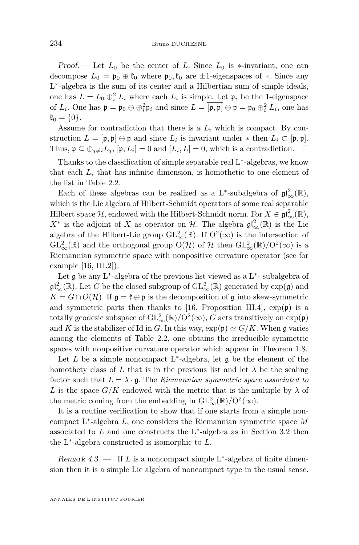Proof. — Let  $L_0$  be the center of L. Since  $L_0$  is  $*$ -invariant, one can decompose  $L_0 = \mathfrak{p}_0 \oplus \mathfrak{k}_0$  where  $\mathfrak{p}_0, \mathfrak{k}_0$  are  $\pm 1$ -eigenspaces of  $\ast$ . Since any L\*-algebra is the sum of its center and a Hilbertian sum of simple ideals, one has  $L = L_0 \oplus_i^2 L_i$  where each  $L_i$  is simple. Let  $\mathfrak{p}_i$  be the 1-eigenspace of  $L_i$ . One has  $\mathfrak{p} = \mathfrak{p}_0 \oplus \oplus_i^2 \mathfrak{p}_i$  and since  $L = [\mathfrak{p}, \mathfrak{p}] \oplus \mathfrak{p} = \mathfrak{p}_0 \oplus_i^2 L_i$ , one has  $\mathfrak{k}_0 = \{0\}.$ 

Assume for contradiction that there is a  $L_i$  which is compact. By construction  $L = [\mathfrak{p}, \mathfrak{p}] \oplus \mathfrak{p}$  and since  $L_i$  is invariant under  $*$  then  $L_i \subset [\mathfrak{p}, \mathfrak{p}]$ . Thus,  $\mathfrak{p} \subseteq \bigoplus_{j \neq i} L_j$ ,  $[\mathfrak{p}, L_i] = 0$  and  $[L_i, L] = 0$ , which is a contradiction.  $\Box$ 

Thanks to the classification of simple separable real L<sup>∗</sup>-algebras, we know that each  $L_i$  that has infinite dimension, is homothetic to one element of the list in Table [2.2.](#page-9-0)

Each of these algebras can be realized as a L<sup>\*</sup>-subalgebra of  $\mathfrak{gl}_{\infty}^2(\mathbb{R})$ , which is the Lie algebra of Hilbert-Schmidt operators of some real separable Hilbert space  $\mathcal{H}$ , endowed with the Hilbert-Schmidt norm. For  $X \in \mathfrak{gl}_{\infty}^2(\mathbb{R})$ ,  $X^*$  is the adjoint of *X* as operator on  $H$ . The algebra  $\mathfrak{gl}_\infty^2(\mathbb{R})$  is the Lie algebra of the Hilbert-Lie group  $\mathrm{GL}^2_{\infty}(\mathbb{R})$ . If  $\mathrm{O}^2(\infty)$  is the intersection of  $\mathrm{GL}^2_{\infty}(\mathbb{R})$  and the orthogonal group  $\mathrm{O}(\mathcal{H})$  of  $\mathcal{H}$  then  $\mathrm{GL}^2_{\infty}(\mathbb{R})/\mathrm{O}^2(\infty)$  is a Riemannian symmetric space with nonpositive curvature operator (see for example [\[16,](#page-33-0) III.2]).

Let **g** be any L<sup>\*</sup>-algebra of the previous list viewed as a L<sup>\*</sup>-subalgebra of  $\mathfrak{gl}^2_{\infty}(\mathbb{R})$ . Let *G* be the closed subgroup of  $\mathrm{GL}^2_{\infty}(\mathbb{R})$  generated by  $\exp(\mathfrak{g})$  and  $K = G \cap O(H)$ . If  $\mathfrak{g} = \mathfrak{k} \oplus \mathfrak{p}$  is the decomposition of g into skew-symmetric and symmetric parts then thanks to [\[16,](#page-33-0) Proposition III.4],  $\exp(\mathfrak{p})$  is a totally geodesic subspace of  $\mathrm{GL}^2_{\infty}(\mathbb{R})/\mathrm{O}^2(\infty)$ ,  $G$  acts transitively on  $\exp(\mathfrak{p})$ and *K* is the stabilizer of Id in *G*. In this way,  $\exp(\mathfrak{p}) \simeq G/K$ . When g varies among the elements of Table [2.2,](#page-9-0) one obtains the irreducible symmetric spaces with nonpositive curvature operator which appear in Theorem [1.8.](#page-5-0)

Let  $L$  be a simple noncompact  $L^*$ -algebra, let  $\mathfrak g$  be the element of the homothety class of L that is in the previous list and let  $\lambda$  be the scaling factor such that  $L = \lambda \cdot \mathfrak{g}$ . The *Riemannian symmetric space associated to L* is the space  $G/K$  endowed with the metric that is the multiple by  $\lambda$  of the metric coming from the embedding in  $\mathrm{GL}^2_{\infty}(\mathbb{R})/\mathrm{O}^2(\infty)$ .

It is a routine verification to show that if one starts from a simple noncompact L<sup>∗</sup> -algebra *L*, one considers the Riemannian symmetric space *M* associated to  $L$  and one constructs the  $L^*$ -algebra as in Section [3.2](#page-16-0) then the L<sup>∗</sup> -algebra constructed is isomorphic to *L*.

Remark 4.3. — If *L* is a noncompact simple L<sup>\*</sup>-algebra of finite dimension then it is a simple Lie algebra of noncompact type in the usual sense.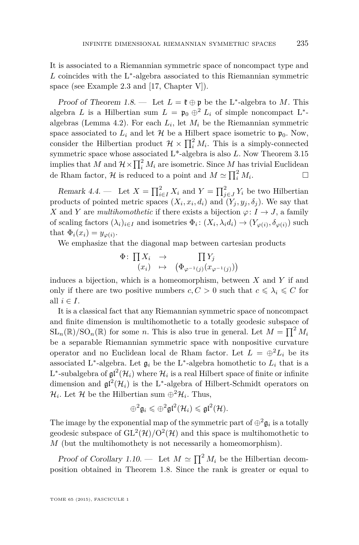It is associated to a Riemannian symmetric space of noncompact type and  $L$  coincides with the L<sup>\*</sup>-algebra associated to this Riemannian symmetric space (see Example [2.3](#page-8-0) and [\[17,](#page-33-0) Chapter V]).

Proof of Theorem [1.8.](#page-5-0) — Let  $L = \mathfrak{k} \oplus \mathfrak{p}$  be the L<sup>\*</sup>-algebra to M. This algebra *L* is a Hilbertian sum  $L = \mathfrak{p}_0 \oplus^2 L_i$  of simple noncompact L<sup>\*</sup>algebras (Lemma [4.2\)](#page-23-0). For each *L<sup>i</sup>* , let *M<sup>i</sup>* be the Riemannian symmetric space associated to  $L_i$  and let  $H$  be a Hilbert space isometric to  $\mathfrak{p}_0$ . Now, consider the Hilbertian product  $\mathcal{H} \times \prod_i^2 M_i$ . This is a simply-connected symmetric space whose associated L\*-algebra is also *L*. Now Theorem [3.15](#page-20-0) implies that *M* and  $\mathcal{H} \times \prod_i^2 M_i$  are isometric. Since *M* has trivial Euclidean de Rham factor,  $\mathcal{H}$  is reduced to a point and  $M \simeq \prod_i^2 M_i$ . — Первый проста в сервести проста в сервести проста в сервести проста в сервести проста в сервести проста в<br>В сервести проста в сервести проста в сервести проста в сервести проглашата в сервести проста в сервести прост

Remark 4.4. — Let  $X = \prod_{i \in I}^2 X_i$  and  $Y = \prod_{j \in J}^2 Y_i$  be two Hilbertian products of pointed metric spaces  $(X_i, x_i, d_i)$  and  $(Y_j, y_j, \delta_j)$ . We say that *X* and *Y* are *multihomothetic* if there exists a bijection  $\varphi: I \to J$ , a family of scaling factors  $(\lambda_i)_{i \in I}$  and isometries  $\Phi_i: (X_i, \lambda_i d_i) \to (Y_{\varphi(i)}, \delta_{\varphi(i)})$  such that  $\Phi_i(x_i) = y_{\varphi(i)}$ .

We emphasize that the diagonal map between cartesian products

$$
\Phi\colon \prod X_i \rightarrow \prod Y_j
$$
  

$$
(x_i) \mapsto (\Phi_{\varphi^{-1}(j)}(x_{\varphi^{-1}(j)}))
$$

induces a bijection, which is a homeomorphism, between *X* and *Y* if and only if there are two positive numbers  $c, C > 0$  such that  $c \leq \lambda_i \leq C$  for all  $i \in I$ .

It is a classical fact that any Riemannian symmetric space of noncompact and finite dimension is multihomothetic to a totally geodesic subspace of  $SL_n(\mathbb{R})/SO_n(\mathbb{R})$  for some *n*. This is also true in general. Let  $M = \prod^2 M_i$ be a separable Riemannian symmetric space with nonpositive curvature operator and no Euclidean local de Rham factor. Let  $L = \bigoplus_{i=1}^{n} L_i$  be its associated L<sup>\*</sup>-algebra. Let  $\mathfrak{g}_i$  be the L<sup>\*</sup>-algebra homothetic to  $L_i$  that is a L<sup>\*</sup>-subalgebra of  $\mathfrak{gl}^2(\mathcal{H}_i)$  where  $\mathcal{H}_i$  is a real Hilbert space of finite or infinite dimension and  $\mathfrak{gl}^2(\mathcal{H}_i)$  is the L<sup>\*</sup>-algebra of Hilbert-Schmidt operators on  $\mathcal{H}_i$ . Let  $\mathcal{H}$  be the Hilbertian sum  $\bigoplus^2 \mathcal{H}_i$ . Thus,

$$
\oplus^2 \mathfrak{g}_i \leqslant \oplus^2 \mathfrak{gl}^2(\mathcal{H}_i) \leqslant \mathfrak{gl}^2(\mathcal{H}).
$$

The image by the exponential map of the symmetric part of  $\oplus^2 \mathfrak{g}_i$  is a totally geodesic subspace of  $GL^2(\mathcal{H})/O^2(\mathcal{H})$  and this space is multihomothetic to *M* (but the multihomothety is not necessarily a homeomorphism).

Proof of Corollary [1.10.](#page-6-0) — Let  $M \simeq \prod^2 M_i$  be the Hilbertian decomposition obtained in Theorem [1.8.](#page-5-0) Since the rank is greater or equal to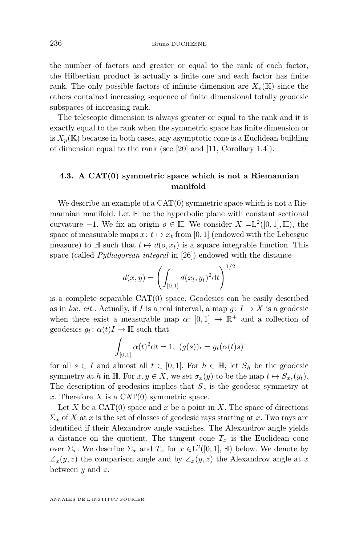<span id="page-26-0"></span>the number of factors and greater or equal to the rank of each factor, the Hilbertian product is actually a finite one and each factor has finite rank. The only possible factors of infinite dimension are  $X_p(\mathbb{K})$  since the others contained increasing sequence of finite dimensional totally geodesic subspaces of increasing rank.

The telescopic dimension is always greater or equal to the rank and it is exactly equal to the rank when the symmetric space has finite dimension or is  $X_p(\mathbb{K})$  because in both cases, any asymptotic cone is a Euclidean building of dimension equal to the rank (see [\[20\]](#page-33-0) and [\[11,](#page-33-0) Corollary 1.4]).  $\Box$ 

#### **4.3. A CAT(0) symmetric space which is not a Riemannian manifold**

We describe an example of a  $CAT(0)$  symmetric space which is not a Riemannian manifold. Let  $\mathbb H$  be the hyperbolic plane with constant sectional curvature  $-1$ . We fix an origin  $o \in \mathbb{H}$ . We consider  $X = L^2([0,1], \mathbb{H})$ , the space of measurable maps  $x: t \mapsto x_t$  from [0, 1] (endowed with the Lebesgue measure) to H such that  $t \mapsto d(o, x_t)$  is a square integrable function. This space (called *Pythagorean integral* in [\[26\]](#page-34-0)) endowed with the distance

$$
d(x,y) = \left(\int_{[0,1]} d(x_t, y_t)^2 dt\right)^{1/2}
$$

is a complete separable CAT(0) space. Geodesics can be easily described as in *loc. cit.*. Actually, if *I* is a real interval, a map  $g: I \to X$  is a geodesic when there exist a measurable map  $\alpha: [0,1] \to \mathbb{R}^+$  and a collection of geodesics  $g_t$ :  $\alpha(t)I \rightarrow \mathbb{H}$  such that

$$
\int_{[0,1]} \alpha(t)^2 dt = 1, \ (g(s))_t = g_t(\alpha(t)s)
$$

for all  $s \in I$  and almost all  $t \in [0,1]$ . For  $h \in \mathbb{H}$ , let  $S_h$  be the geodesic symmetry at *h* in H. For  $x, y \in X$ , we set  $\sigma_x(y)$  to be the map  $t \mapsto S_{x_t}(y_t)$ . The description of geodesics implies that  $S<sub>x</sub>$  is the geodesic symmetry at x. Therefore  $X$  is a CAT $(0)$  symmetric space.

Let  $X$  be a CAT $(0)$  space and  $x$  be a point in  $X$ . The space of directions  $\Sigma_x$  of *X* at *x* is the set of classes of geodesic rays starting at *x*. Two rays are identified if their Alexandrov angle vanishes. The Alexandrov angle yields a distance on the quotient. The tangent cone  $T_x$  is the Euclidean cone over  $\Sigma_x$ . We describe  $\Sigma_x$  and  $T_x$  for  $x \in L^2([0,1], \mathbb{H})$  below. We denote by  $\overline{Z}_x(y, z)$  the comparison angle and by  $\angle_x(y, z)$  the Alexandrov angle at x between *y* and *z*.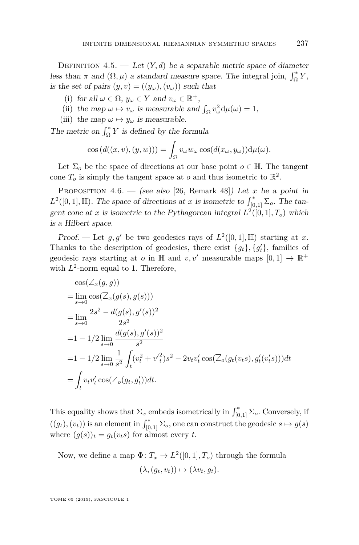DEFINITION 4.5. — Let  $(Y, d)$  be a separable metric space of diameter less than  $\pi$  and  $(\Omega, \mu)$  a standard measure space. The integral join,  $\int_{\Omega}^{*} Y$ , is the set of pairs  $(y, v) = ((y_\omega), (v_\omega))$  such that

- (i) for all  $\omega \in \Omega$ ,  $y_{\omega} \in Y$  and  $v_{\omega} \in \mathbb{R}^+$ ,
- (ii) the map  $\omega \mapsto v_{\omega}$  is measurable and  $\int_{\Omega} v_{\omega}^2 d\mu(\omega) = 1$ ,
- (iii) the map  $\omega \mapsto y_{\omega}$  is measurable.

The metric on  $\int_{\Omega}^* Y$  is defined by the formula

$$
\cos(d((x,v),(y,w))) = \int_{\Omega} v_{\omega} w_{\omega} \cos(d(x_{\omega}, y_{\omega})) d\mu(\omega).
$$

Let  $\Sigma_o$  be the space of directions at our base point  $o \in \mathbb{H}$ . The tangent cone  $T_o$  is simply the tangent space at  $o$  and thus isometric to  $\mathbb{R}^2$ .

PROPOSITION 4.6. — (see also [\[26,](#page-34-0) Remark 48]) Let *x* be a point in  $L^2([0,1], \mathbb{H})$ . The space of directions at *x* is isometric to  $\int_{[0,1]}^* \Sigma_o$ . The tangent cone at *x* is isometric to the Pythagorean integral  $L^2([0,1], T_o)$  which is a Hilbert space.

Proof. — Let  $g, g'$  be two geodesics rays of  $L^2([0,1], \mathbb{H})$  starting at *x*. Thanks to the description of geodesics, there exist  ${g_t}$ ,  ${g'_t}$ , families of geodesic rays starting at *o* in  $\mathbb{H}$  and  $v, v'$  measurable maps  $[0, 1] \to \mathbb{R}^+$ with  $L^2$ -norm equal to 1. Therefore,

$$
\cos(\angle_x(g, g))
$$
  
=  $\lim_{s\to 0} \cos(\overline{\angle}_x(g(s), g(s)))$   
=  $\lim_{s\to 0} \frac{2s^2 - d(g(s), g'(s))^2}{2s^2}$   
=  $1 - 1/2 \lim_{s\to 0} \frac{d(g(s), g'(s))^2}{s^2}$   
=  $1 - 1/2 \lim_{s\to 0} \frac{1}{s^2} \int_t (v_t^2 + v_t'^2) s^2 - 2v_t v_t' \cos(\overline{\angle}_o(g_t(v_t s), g_t'(v_t' s))) dt$   
=  $\int_t v_t v_t' \cos(\angle_o(g_t, g_t')) dt.$ 

This equality shows that  $\Sigma_x$  embeds isometrically in  $\int_{[0,1]}^{\ast} \Sigma_o$ . Conversely, if  $((g_t), (v_t))$  is an element in  $\int_{[0,1]}^* \Sigma_o$ , one can construct the geodesic  $s \mapsto g(s)$ where  $(g(s))_t = g_t(v_t s)$  for almost every *t*.

Now, we define a map  $\Phi: T_x \to L^2([0,1], T_o)$  through the formula  $(\lambda, (q_t, v_t)) \mapsto (\lambda v_t, q_t).$ 

TOME 65 (2015), FASCICULE 1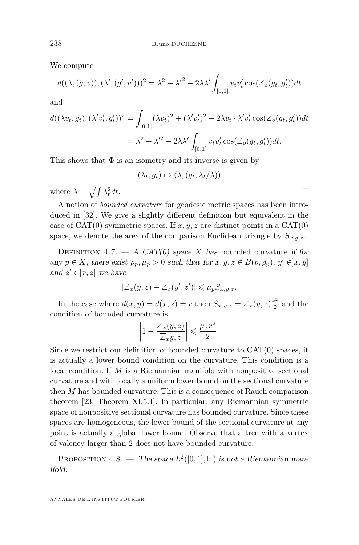We compute

$$
d((\lambda,(g,v)),(\lambda',(g',v')))^2 = \lambda^2 + {\lambda'}^2 - 2\lambda\lambda' \int_{[0,1]} v_t v_t' \cos(\angle_o(g_t,g_t'))dt
$$

and

$$
d((\lambda v_t, g_t), (\lambda' v'_t, g'_t))^2 = \int_{[0,1]} (\lambda v_t)^2 + (\lambda' v'_t)^2 - 2\lambda v_t \cdot \lambda' v'_t \cos(\angle_o(g_t, g'_t)) dt
$$
  

$$
= \lambda^2 + \lambda'^2 - 2\lambda \lambda' \int_{[0,1]} v_t v'_t \cos(\angle_o(g_t, g'_t)) dt.
$$

This shows that  $\Phi$  is an isometry and its inverse is given by

$$
(\lambda_t, g_t) \mapsto (\lambda, (g_t, \lambda_t/\lambda))
$$
  
 $\frac{2}{t}dt$ .

where  $\lambda = \sqrt{\int \lambda_t^2}$ 

A notion of *bounded curvature* for geodesic metric spaces has been introduced in [\[32\]](#page-34-0). We give a slightly different definition but equivalent in the case of  $CAT(0)$  symmetric spaces. If  $x, y, z$  are distinct points in a  $CAT(0)$ space, we denote the area of the comparison Euclidean triangle by  $S_{x,y,z}$ .

DEFINITION 4.7.  $- A CAT(0)$  space X has bounded curvature if for any  $p \in X$ , there exist  $\rho_p, \mu_p > 0$  such that for  $x, y, z \in B(p, \rho_p), y' \in ]x, y]$ and  $z' \in ]x, z]$  we have

$$
|\overline{\angle}_{x}(y,z)-\overline{\angle}_{x}(y',z')|\leq \mu_{p}S_{x,y,z}.
$$

In the case where  $d(x, y) = d(x, z) = r$  then  $S_{x,y,z} = \overline{\angle}_x(y, z) \frac{r^2}{2}$  $\frac{x^2}{2}$  and the condition of bounded curvature is

$$
\left|1 - \frac{\angle_x(y, z)}{\angle_x y, z}\right| \leq \frac{\mu_x r^2}{2}.
$$

Since we restrict our definition of bounded curvature to  $CAT(0)$  spaces, it is actually a lower bound condition on the curvature. This condition is a local condition. If *M* is a Riemannian manifold with nonpositive sectional curvature and with locally a uniform lower bound on the sectional curvature then *M* has bounded curvature. This is a consequence of Rauch comparison theorem [\[23,](#page-34-0) Theorem XI.5.1]. In particular, any Riemannian symmetric space of nonpositive sectional curvature has bounded curvature. Since these spaces are homogeneous, the lower bound of the sectional curvature at any point is actually a global lower bound. Observe that a tree with a vertex of valency larger than 2 does not have bounded curvature.

PROPOSITION 4.8. — The space  $L^2([0,1], \mathbb{H})$  is not a Riemannian manifold.

ANNALES DE L'INSTITUT FOURIER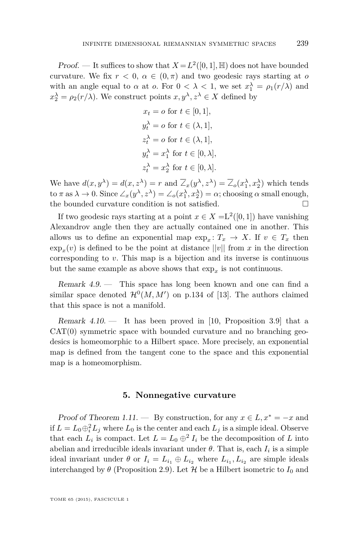Proof. — It suffices to show that  $X = L^2([0,1], \mathbb{H})$  does not have bounded curvature. We fix  $r < 0$ ,  $\alpha \in (0, \pi)$  and two geodesic rays starting at *o* with an angle equal to  $\alpha$  at  $\alpha$ . For  $0 < \lambda < 1$ , we set  $x_1^{\lambda} = \rho_1(r/\lambda)$  and  $x_2^{\lambda} = \rho_2(r/\lambda)$ . We construct points  $x, y^{\lambda}, z^{\lambda} \in X$  defined by

$$
x_t = o \text{ for } t \in [0, 1],
$$
  
\n
$$
y_t^{\lambda} = o \text{ for } t \in (\lambda, 1],
$$
  
\n
$$
z_t^{\lambda} = o \text{ for } t \in (\lambda, 1],
$$
  
\n
$$
y_t^{\lambda} = x_1^{\lambda} \text{ for } t \in [0, \lambda],
$$
  
\n
$$
z_t^{\lambda} = x_2^{\lambda} \text{ for } t \in [0, \lambda].
$$

We have  $d(x, y^{\lambda}) = d(x, z^{\lambda}) = r$  and  $\overline{\angle}_x(y^{\lambda}, z^{\lambda}) = \overline{\angle}_o(x_1^{\lambda}, x_2^{\lambda})$  which tends  $\cos \lambda \to 0$ . Since  $\angle_x(y^\lambda, z^\lambda) = \angle_o(x_1^\lambda, x_2^\lambda) = \alpha$ ; choosing  $\alpha$  small enough, the bounded curvature condition is not satisfied.

If two geodesic rays starting at a point  $x \in X = L^2([0,1])$  have vanishing Alexandrov angle then they are actually contained one in another. This allows us to define an exponential map  $\exp_x: T_x \to X$ . If  $v \in T_x$  then  $\exp_x(v)$  is defined to be the point at distance  $||v||$  from *x* in the direction corresponding to *v*. This map is a bijection and its inverse is continuous but the same example as above shows that  $\exp_x$  is not continuous.

Remark 4.9. — This space has long been known and one can find a similar space denoted  $\mathcal{H}^0(M, M')$  on p.134 of [\[13\]](#page-33-0). The authors claimed that this space is not a manifold.

Remark  $4.10.$  — It has been proved in [\[10,](#page-33-0) Proposition 3.9] that a  $CAT(0)$  symmetric space with bounded curvature and no branching geodesics is homeomorphic to a Hilbert space. More precisely, an exponential map is defined from the tangent cone to the space and this exponential map is a homeomorphism.

#### **5. Nonnegative curvature**

Proof of Theorem [1.11.](#page-7-0) — By construction, for any  $x \in L$ ,  $x^* = -x$  and if  $L = L_0 \oplus_i^2 L_j$  where  $L_0$  is the center and each  $L_j$  is a simple ideal. Observe that each  $L_i$  is compact. Let  $L = L_0 \oplus^2 I_i$  be the decomposition of *L* into abelian and irreducible ideals invariant under  $\theta$ . That is, each  $I_i$  is a simple ideal invariant under  $\theta$  or  $I_i = L_{i_1} \oplus L_{i_2}$  where  $L_{i_1}, L_{i_2}$  are simple ideals interchanged by  $\theta$  (Proposition [2.9\)](#page-11-0). Let  $\mathcal H$  be a Hilbert isometric to  $I_0$  and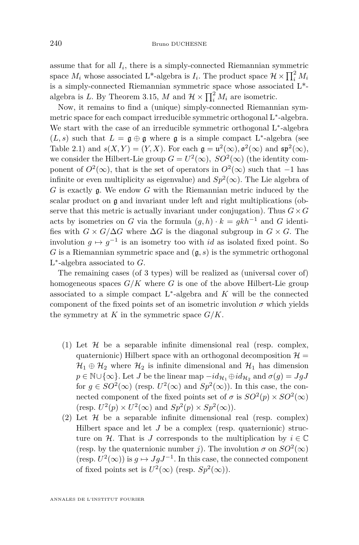assume that for all  $I_i$ , there is a simply-connected Riemannian symmetric space  $M_i$  whose associated L<sup>\*</sup>-algebra is  $I_i$ . The product space  $\mathcal{H} \times \prod_i^2 M_i$ is a simply-connected Riemannian symmetric space whose associated L\* algebra is *L*. By Theorem [3.15,](#page-20-0) *M* and  $\mathcal{H} \times \prod_i^2 M_i$  are isometric.

Now, it remains to find a (unique) simply-connected Riemannian symmetric space for each compact irreducible symmetric orthogonal L<sup>∗</sup> -algebra. We start with the case of an irreducible symmetric orthogonal L<sup>∗</sup> -algebra  $(L, s)$  such that  $L = \mathfrak{g} \oplus \mathfrak{g}$  where  $\mathfrak{g}$  is a simple compact L<sup>\*</sup>-algebra (see Table [2.1\)](#page-9-0) and  $s(X, Y) = (Y, X)$ . For each  $\mathfrak{g} = \mathfrak{u}^2(\infty)$ ,  $\mathfrak{o}^2(\infty)$  and  $\mathfrak{sp}^2(\infty)$ , we consider the Hilbert-Lie group  $G = U^2(\infty)$ ,  $SO^2(\infty)$  (the identity component of  $O^2(\infty)$ , that is the set of operators in  $O^2(\infty)$  such that  $-1$  has infinite or even multiplicity as eigenvalue) and  $Sp^2(\infty)$ . The Lie algebra of *G* is exactly g. We endow *G* with the Riemannian metric induced by the scalar product on  $\mathfrak g$  and invariant under left and right multiplications (observe that this metric is actually invariant under conjugation). Thus  $G \times G$ acts by isometries on *G* via the formula  $(q, h) \cdot k = gkh^{-1}$  and *G* identifies with  $G \times G/\Delta G$  where  $\Delta G$  is the diagonal subgroup in  $G \times G$ . The involution  $g \mapsto g^{-1}$  is an isometry too with *id* as isolated fixed point. So *G* is a Riemannian symmetric space and  $(g, s)$  is the symmetric orthogonal L ∗ -algebra associated to *G*.

The remaining cases (of 3 types) will be realized as (universal cover of) homogeneous spaces  $G/K$  where G is one of the above Hilbert-Lie group associated to a simple compact L<sup>∗</sup> -algebra and *K* will be the connected component of the fixed points set of an isometric involution  $\sigma$  which yields the symmetry at  $K$  in the symmetric space  $G/K$ .

- (1) Let  $\mathcal H$  be a separable infinite dimensional real (resp. complex, quaternionic) Hilbert space with an orthogonal decomposition  $\mathcal{H} =$  $\mathcal{H}_1 \oplus \mathcal{H}_2$  where  $\mathcal{H}_2$  is infinite dimensional and  $\mathcal{H}_1$  has dimension  $p \in \mathbb{N} \cup \{\infty\}$ . Let *J* be the linear map  $-id_{\mathcal{H}_1} \oplus id_{\mathcal{H}_2}$  and  $\sigma(g) = JgJ$ for  $g \in SO^2(\infty)$  (resp.  $U^2(\infty)$  and  $Sp^2(\infty)$ ). In this case, the connected component of the fixed points set of  $\sigma$  is  $SO^2(p) \times SO^2(\infty)$ (resp.  $U^2(p) \times U^2(\infty)$  and  $Sp^2(p) \times Sp^2(\infty)$ ).
- (2) Let  $H$  be a separable infinite dimensional real (resp. complex) Hilbert space and let *J* be a complex (resp. quaternionic) structure on H. That is *J* corresponds to the multiplication by  $i \in \mathbb{C}$ (resp. by the quaternionic number *j*). The involution  $\sigma$  on  $SO^2(\infty)$ (resp.  $U^2(\infty)$ ) is  $g \mapsto JgJ^{-1}$ . In this case, the connected component of fixed points set is  $U^2(\infty)$  (resp.  $Sp^2(\infty)$ ).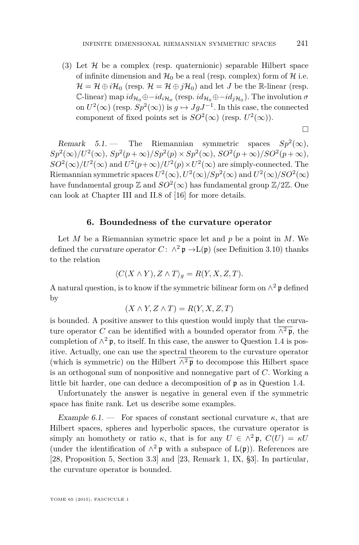(3) Let  $\mathcal H$  be a complex (resp. quaternionic) separable Hilbert space of infinite dimension and  $\mathcal{H}_0$  be a real (resp. complex) form of  $\mathcal H$  i.e.  $\mathcal{H} = \mathcal{H} \oplus i\mathcal{H}_0$  (resp.  $\mathcal{H} = \mathcal{H} \oplus j\mathcal{H}_0$ ) and let *J* be the R-linear (resp.  $\mathbb{C}\text{-linear}$ ) map  $id_{\mathcal{H}_0} \oplus -id_{i\mathcal{H}_0}$  (resp.  $id_{\mathcal{H}_0} \oplus -id_{j\mathcal{H}_0}$ ). The involution  $\sigma$ on  $U^2(\infty)$  (resp.  $Sp^2(\infty)$ ) is  $g \mapsto JgJ^{-1}$ . In this case, the connected component of fixed points set is  $SO^2(\infty)$  (resp.  $U^2(\infty)$ ).

 $\Box$ 

Remark 5.1. – The Riemannian symmetric spaces  $Sp^2(\infty)$ ,  $Sp^{2}(\infty)/U^{2}(\infty)$ ,  $Sp^{2}(p+\infty)/Sp^{2}(p) \times Sp^{2}(\infty)$ ,  $SO^{2}(p+\infty)/SO^{2}(p+\infty)$ ,  $SO^2(\infty)/U^2(\infty)$  and  $U^2(p+\infty)/U^2(p)\times U^2(\infty)$  are simply-connected. The Riemannian symmetric spaces  $U^2(\infty)$ ,  $U^2(\infty)/Sp^2(\infty)$  and  $U^2(\infty)/SO^2(\infty)$ have fundamental group  $\mathbb Z$  and  $SO^2(\infty)$  has fundamental group  $\mathbb Z/2\mathbb Z.$  One can look at Chapter III and II.8 of [\[16\]](#page-33-0) for more details.

#### **6. Boundedness of the curvature operator**

Let *M* be a Riemannian symetric space let and *p* be a point in *M*. We defined the curvature operator  $C: \wedge^2 \mathfrak{p} \to L(\mathfrak{p})$  (see Definition [3.10\)](#page-18-0) thanks to the relation

$$
\langle C(X \wedge Y), Z \wedge T \rangle_g = R(Y, X, Z, T).
$$

A natural question, is to know if the symmetric bilinear form on  $\wedge^2 \mathfrak{p}$  defined by

$$
(X \wedge Y, Z \wedge T) = R(Y, X, Z, T)
$$

is bounded. A positive answer to this question would imply that the curvature operator *C* can be identified with a bounded operator from  $\overline{\wedge^2 \mathfrak{p}}$ , the completion of  $\wedge^2$ **p**, to itself. In this case, the answer to Question [1.4](#page-4-0) is positive. Actually, one can use the spectral theorem to the curvature operator (which is symmetric) on the Hilbert  $\overline{\wedge^2 \mathfrak{p}}$  to decompose this Hilbert space is an orthogonal sum of nonpositive and nonnegative part of *C*. Working a little bit harder, one can deduce a decomposition of p as in Question [1.4.](#page-4-0)

Unfortunately the answer is negative in general even if the symmetric space has finite rank. Let us describe some examples.

Example  $6.1.$  – For spaces of constant sectional curvature  $\kappa$ , that are Hilbert spaces, spheres and hyperbolic spaces, the curvature operator is simply an homothety or ratio  $\kappa$ , that is for any  $U \in \wedge^2 \mathfrak{p}$ ,  $C(U) = \kappa U$ (under the identification of  $\wedge^2$ **p** with a subspace of  $L(\mathfrak{p})$ ). References are [\[28,](#page-34-0) Proposition 5, Section 3.3] and [\[23,](#page-34-0) Remark 1, IX, §3]. In particular, the curvature operator is bounded.

TOME 65 (2015), FASCICULE 1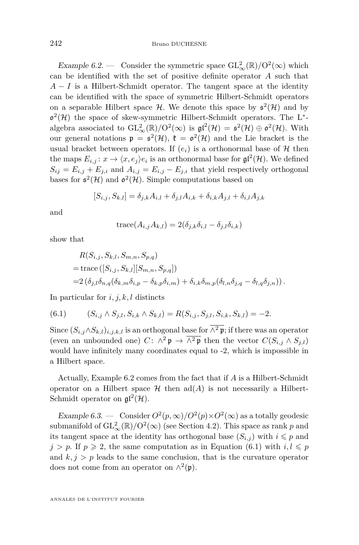Example 6.2. — Consider the symmetric space  $GL_{\infty}^{2}(\mathbb{R})/O^{2}(\infty)$  which can be identified with the set of positive definite operator *A* such that  $A - I$  is a Hilbert-Schmidt operator. The tangent space at the identity can be identified with the space of symmetric Hilbert-Schmidt operators on a separable Hilbert space  $\mathcal{H}$ . We denote this space by  $\mathfrak{s}^2(\mathcal{H})$  and by  $\mathfrak{o}^2(\mathcal{H})$  the space of skew-symmetric Hilbert-Schmidt operators. The L<sup>\*</sup>algebra associated to  $GL_{\infty}^{2}(\mathbb{R})/O^{2}(\infty)$  is  $\mathfrak{gl}^{2}(\mathcal{H}) = \mathfrak{s}^{2}(\mathcal{H}) \oplus \mathfrak{o}^{2}(\mathcal{H})$ . With our general notations  $\mathfrak{p} = \mathfrak{s}^2(\mathcal{H}), \mathfrak{k} = \mathfrak{o}^2(\mathcal{H})$  and the Lie bracket is the usual bracket between operators. If  $(e_i)$  is a orthonormal base of  $H$  then the maps  $E_{i,j}: x \to \langle x, e_j \rangle e_i$  is an orthonormal base for  $\mathfrak{gl}^2(\mathcal{H})$ . We defined  $S_{ij} = E_{i,j} + E_{j,i}$  and  $A_{i,j} = E_{i,j} - E_{j,i}$  that yield respectively orthogonal bases for  $\mathfrak{s}^2(\mathcal{H})$  and  $\mathfrak{o}^2(\mathcal{H})$ . Simple computations based on

$$
[S_{i,j}, S_{k,l}] = \delta_{j,k} A_{i,l} + \delta_{j,l} A_{i,k} + \delta_{i,k} A_{j,l} + \delta_{i,l} A_{j,k}
$$

and

$$
trace(A_{i,j}A_{k,l}) = 2(\delta_{j,k}\delta_{i,l} - \delta_{j,l}\delta_{i,k})
$$

show that

$$
R(S_{i,j}, S_{k,l}, S_{m,n}, S_{p,q})
$$
  
= trace ([S<sub>i,j</sub>, S<sub>k,l</sub>][S<sub>m,n</sub>, S<sub>p,q</sub>])  
=2 ( $\delta_{j,l}$   $\delta_{n,q}$  ( $\delta_{k,m}$   $\delta_{i,p} - \delta_{k,p}$   $\delta_{i,m}$ ) +  $\delta_{i,k}$   $\delta_{m,p}$  ( $\delta_{l,n}$   $\delta_{j,q} - \delta_{l,q}$   $\delta_{j,n}$ )).

In particular for *i, j, k, l* distincts

$$
(6.1) \qquad (S_{i,j} \wedge S_{j,l}, S_{i,k} \wedge S_{k,l}) = R(S_{i,j}, S_{j,l}, S_{i,k}, S_{k,l}) = -2.
$$

Since  $(S_{i,j} \wedge S_{k,l})_{i,j,k,l}$  is an orthogonal base for  $\overline{\wedge^2 \mathfrak{p}}$ ; if there was an operator (even an unbounded one) *C*:  $\wedge^2 \mathfrak{p} \to \overline{\wedge^2 \mathfrak{p}}$  then the vector  $C(S_{i,j} \wedge S_{j,l})$ would have infinitely many coordinates equal to -2, which is impossible in a Hilbert space.

Actually, Example 6.2 comes from the fact that if *A* is a Hilbert-Schmidt operator on a Hilbert space  $\mathcal H$  then  $ad(A)$  is not necessarily a Hilbert-Schmidt operator on  $\mathfrak{gl}^2(\mathcal{H})$ .

Example 6.3. — Consider  $O^2(p,\infty)/O^2(p)\times O^2(\infty)$  as a totally geodesic submanifold of  $GL_{\infty}^2(\mathbb{R})/O^2(\infty)$  (see Section [4.2\)](#page-23-0). This space as rank *p* and its tangent space at the identity has orthogonal base  $(S_{i,j})$  with  $i \leq p$  and  $j > p$ . If  $p \ge 2$ , the same computation as in Equation (6.1) with  $i, l \le p$ and  $k, j > p$  leads to the same conclusion, that is the curvature operator does not come from an operator on  $\wedge^2(\mathfrak{p})$ .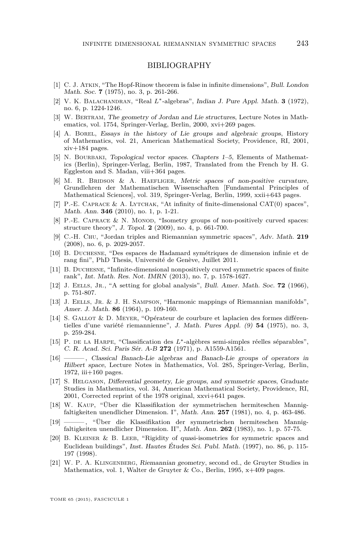#### BIBLIOGRAPHY

- <span id="page-33-0"></span>[1] C. J. Atkin, "The Hopf-Rinow theorem is false in infinite dimensions", Bull. London Math. Soc. **7** (1975), no. 3, p. 261-266.
- [2] V. K. Balachandran, "Real *L*∗-algebras", Indian J. Pure Appl. Math. **3** (1972), no. 6, p. 1224-1246.
- [3] W. BERTRAM, The geometry of Jordan and Lie structures, Lecture Notes in Mathematics, vol. 1754, Springer-Verlag, Berlin, 2000, xvi+269 pages.
- [4] A. Borel, Essays in the history of Lie groups and algebraic groups, History of Mathematics, vol. 21, American Mathematical Society, Providence, RI, 2001, xiv+184 pages.
- [5] N. BOURBAKI, Topological vector spaces. Chapters 1–5, Elements of Mathematics (Berlin), Springer-Verlag, Berlin, 1987, Translated from the French by H. G. Eggleston and S. Madan, viii+364 pages.
- [6] M. R. BRIDSON & A. HAEFLIGER, Metric spaces of non-positive curvature, Grundlehren der Mathematischen Wissenschaften [Fundamental Principles of Mathematical Sciences], vol. 319, Springer-Verlag, Berlin, 1999, xxii+643 pages.
- [7] P.-E. CAPRACE & A. LYTCHAK, "At infinity of finite-dimensional CAT $(0)$  spaces", Math. Ann. **346** (2010), no. 1, p. 1-21.
- [8] P.-E. CAPRACE & N. MONOD, "Isometry groups of non-positively curved spaces: structure theory", J. Topol. **2** (2009), no. 4, p. 661-700.
- [9] C.-H. Chu, "Jordan triples and Riemannian symmetric spaces", Adv. Math. **219** (2008), no. 6, p. 2029-2057.
- [10] B. Duchesne, "Des espaces de Hadamard symétriques de dimension infinie et de rang fini", PhD Thesis, Université de Genève, Juillet 2011.
- [11] B. Duchesne, "Infinite-dimensional nonpositively curved symmetric spaces of finite rank", Int. Math. Res. Not. IMRN (2013), no. 7, p. 1578-1627.
- [12] J. Eells, Jr., "A setting for global analysis", Bull. Amer. Math. Soc. **72** (1966), p. 751-807.
- [13] J. Eells, Jr. & J. H. Sampson, "Harmonic mappings of Riemannian manifolds", Amer. J. Math. **86** (1964), p. 109-160.
- [14] S. Gallot & D. Meyer, "Opérateur de courbure et laplacien des formes différentielles d'une variété riemannienne", J. Math. Pures Appl. (9) **54** (1975), no. 3, p. 259-284.
- [15] P. de la Harpe, "Classification des *L*∗-algèbres semi-simples réelles séparables", C. R. Acad. Sci. Paris Sér. A-B **272** (1971), p. A1559-A1561.
- [16] ——— , Classical Banach-Lie algebras and Banach-Lie groups of operators in Hilbert space, Lecture Notes in Mathematics, Vol. 285, Springer-Verlag, Berlin, 1972, iii $+160$  pages.
- [17] S. Helgason, Differential geometry, Lie groups, and symmetric spaces, Graduate Studies in Mathematics, vol. 34, American Mathematical Society, Providence, RI, 2001, Corrected reprint of the 1978 original, xxvi+641 pages.
- [18] W. Kaup, "Über die Klassifikation der symmetrischen hermiteschen Mannigfaltigkeiten unendlicher Dimension. I", Math. Ann. **257** (1981), no. 4, p. 463-486.
- [19] ——— , "Über die Klassifikation der symmetrischen hermiteschen Mannigfaltigkeiten unendlicher Dimension. II", Math. Ann. **262** (1983), no. 1, p. 57-75.
- [20] B. Kleiner & B. Leeb, "Rigidity of quasi-isometries for symmetric spaces and Euclidean buildings", Inst. Hautes Études Sci. Publ. Math. (1997), no. 86, p. 115- 197 (1998).
- [21] W. P. A. Klingenberg, Riemannian geometry, second ed., de Gruyter Studies in Mathematics, vol. 1, Walter de Gruyter & Co., Berlin, 1995, x+409 pages.